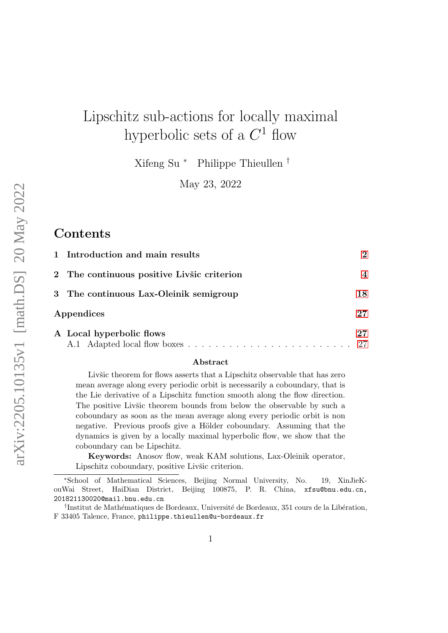## Lipschitz sub-actions for locally maximal hyperbolic sets of a  $C^1$  flow

Xifeng Su <sup>∗</sup> Philippe Thieullen †

May 23, 2022

### **Contents**

| 1 Introduction and main results            | $\mathcal{D}$ |
|--------------------------------------------|---------------|
| 2 The continuous positive Livšic criterion | 4             |
| 3 The continuous Lax-Oleinik semigroup     | 18            |
| Appendices                                 |               |
| A Local hyperbolic flows                   | 27            |
|                                            |               |

#### Abstract

Livšic theorem for flows asserts that a Lipschitz observable that has zero mean average along every periodic orbit is necessarily a coboundary, that is the Lie derivative of a Lipschitz function smooth along the flow direction. The positive Livisc theorem bounds from below the observable by such a coboundary as soon as the mean average along every periodic orbit is non negative. Previous proofs give a Hölder coboundary. Assuming that the dynamics is given by a locally maximal hyperbolic flow, we show that the coboundary can be Lipschitz.

Keywords: Anosov flow, weak KAM solutions, Lax-Oleinik operator, Lipschitz coboundary, positive Livšic criterion.

<sup>∗</sup>School of Mathematical Sciences, Beijing Normal University, No. 19, XinJieKouWai Street, HaiDian District, Beijing 100875, P. R. China, xfsu@bnu.edu.cn, 201821130020@mail.bnu.edu.cn

<sup>&</sup>lt;sup>†</sup>Institut de Mathématiques de Bordeaux, Université de Bordeaux, 351 cours de la Libération, F 33405 Talence, France, philippe.thieullen@u-bordeaux.fr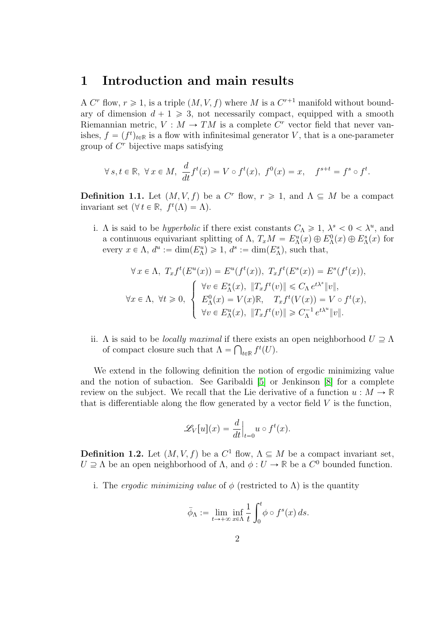### <span id="page-1-0"></span>1 Introduction and main results

A  $C<sup>r</sup>$  flow,  $r \ge 1$ , is a triple  $(M, V, f)$  where M is a  $C<sup>r+1</sup>$  manifold without boundary of dimension  $d + 1 \ge 3$ , not necessarily compact, equipped with a smooth Riemannian metric,  $V : M \to TM$  is a complete  $C<sup>r</sup>$  vector field that never vanishes,  $f = (f^t)_{t \in \mathbb{R}}$  is a flow with infinitesimal generator V, that is a one-parameter group of  $C<sup>r</sup>$  bijective maps satisfying

$$
\forall s, t \in \mathbb{R}, \ \forall x \in M, \ \frac{d}{dt} f^t(x) = V \circ f^t(x), \ f^0(x) = x, \quad f^{s+t} = f^s \circ f^t.
$$

<span id="page-1-1"></span>**Definition 1.1.** Let  $(M, V, f)$  be a C<sup>r</sup> flow,  $r \ge 1$ , and  $\Lambda \subseteq M$  be a compact invariant set  $(\forall t \in \mathbb{R}, f^t(\Lambda) = \Lambda).$ 

i. A is said to be *hyperbolic* if there exist constants  $C_{\Lambda} \geq 1$ ,  $\lambda^s < 0 < \lambda^u$ , and a continuous equivariant splitting of  $\Lambda$ ,  $T_xM = E_{\Lambda}^u(x) \oplus E_{\Lambda}^0(x) \oplus E_{\Lambda}^s(x)$  for every  $x \in \Lambda$ ,  $d^u := \dim(E_{\Lambda}^u) \geq 1$ ,  $d^s := \dim(E_{\Lambda}^s)$ , such that,

$$
\forall x \in \Lambda, T_x f^t(E^u(x)) = E^u(f^t(x)), T_x f^t(E^s(x)) = E^s(f^t(x)),
$$
  

$$
\forall x \in \Lambda, \forall t \ge 0, \begin{cases} \forall v \in E^s_{\Lambda}(x), \|T_x f^t(v)\| \le C_{\Lambda} e^{t\lambda^s} \|v\|, \\ E^0_{\Lambda}(x) = V(x) \mathbb{R}, T_x f^t(V(x)) = V \circ f^t(x), \\ \forall v \in E^u_{\Lambda}(x), \|T_x f^t(v)\| \ge C_{\Lambda}^{-1} e^{t\lambda^u} \|v\|. \end{cases}
$$

ii.  $\Lambda$  is said to be *locally maximal* if there exists an open neighborhood  $U \supseteq \Lambda$ of compact closure such that  $\Lambda = \bigcap_{t \in \mathbb{R}} f^t(U)$ .

We extend in the following definition the notion of ergodic minimizing value and the notion of subaction. See Garibaldi [\[5\]](#page-29-0) or Jenkinson [\[8\]](#page-30-0) for a complete review on the subject. We recall that the Lie derivative of a function  $u : M \to \mathbb{R}$ that is differentiable along the flow generated by a vector field  $V$  is the function,

$$
\mathscr{L}_V[u](x) = \frac{d}{dt}\Big|_{t=0} u \circ f^t(x).
$$

<span id="page-1-2"></span>**Definition 1.2.** Let  $(M, V, f)$  be a  $C^1$  flow,  $\Lambda \subseteq M$  be a compact invariant set,  $U \supseteq \Lambda$  be an open neighborhood of  $\Lambda$ , and  $\phi: U \to \mathbb{R}$  be a  $C^0$  bounded function.

i. The *ergodic minimizing value* of  $\phi$  (restricted to  $\Lambda$ ) is the quantity

$$
\bar{\phi}_{\Lambda} := \lim_{t \to +\infty} \inf_{x \in \Lambda} \frac{1}{t} \int_0^t \phi \circ f^s(x) \, ds.
$$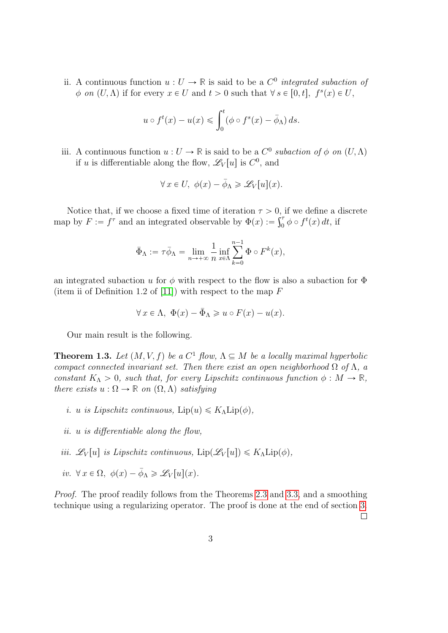<span id="page-2-0"></span>ii. A continuous function  $u: U \to \mathbb{R}$  is said to be a  $C^0$  *integrated subaction of*  $\phi$  on  $(U, \Lambda)$  if for every  $x \in U$  and  $t > 0$  such that  $\forall s \in [0, t], f^s(x) \in U$ ,

$$
u \circ f^t(x) - u(x) \leqslant \int_0^t (\phi \circ f^s(x) - \bar{\phi}_\Lambda) ds.
$$

iii. A continuous function  $u: U \to \mathbb{R}$  is said to be a  $C^0$  subaction of  $\phi$  on  $(U, \Lambda)$ if u is differentiable along the flow,  $\mathscr{L}_V[u]$  is  $C^0$ , and

$$
\forall x \in U, \ \phi(x) - \bar{\phi}_{\Lambda} \geq \mathcal{L}_V[u](x).
$$

Notice that, if we choose a fixed time of iteration  $\tau > 0$ , if we define a discrete map by  $F := f^{\tau}$  and an integrated observable by  $\Phi(x) := \int_0^{\tau} \phi \circ f^t(x) dt$ , if

$$
\bar{\Phi}_{\Lambda}:=\tau \bar{\phi}_{\Lambda}=\lim_{n\to+\infty}\frac{1}{n}\inf_{x\in\Lambda}\sum_{k=0}^{n-1}\Phi\circ F^k(x),
$$

an integrated subaction u for  $\phi$  with respect to the flow is also a subaction for  $\Phi$ (item ii of Definition 1.2 of [\[11\]](#page-30-1)) with respect to the map  $F$ 

$$
\forall x \in \Lambda, \ \Phi(x) - \bar{\Phi}_{\Lambda} \geq u \circ F(x) - u(x).
$$

Our main result is the following.

<span id="page-2-1"></span>**Theorem 1.3.** Let  $(M, V, f)$  be a  $C^1$  flow,  $\Lambda \subseteq M$  be a locally maximal hyperbolic compact connected invariant set. Then there exist an open neighborhood  $\Omega$  of  $\Lambda$ , a constant  $K_{\Lambda} > 0$ , such that, for every Lipschitz continuous function  $\phi : M \to \mathbb{R}$ , there exists  $u : \Omega \to \mathbb{R}$  on  $(\Omega, \Lambda)$  satisfying

- i. u is Lipschitz continuous,  $\text{Lip}(u) \leq K_{\Lambda} \text{Lip}(\phi)$ ,
- ii. u is differentiable along the flow,
- iii.  $\mathscr{L}_V[u]$  is Lipschitz continuous,  $\text{Lip}(\mathscr{L}_V[u]) \leq K_\Lambda \text{Lip}(\phi)$ ,
- iv.  $\forall x \in \Omega$ ,  $\phi(x) \overline{\phi}_{\Lambda} \geq \mathscr{L}_V[u](x)$ .

Proof. The proof readily follows from the Theorems [2.3](#page-5-0) and [3.3,](#page-18-0) and a smoothing technique using a regularizing operator. The proof is done at the end of section [3.](#page-17-0)  $\Box$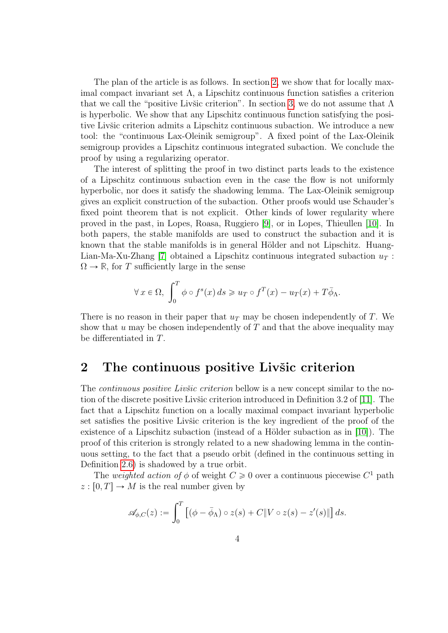The plan of the article is as follows. In section [2,](#page-3-0) we show that for locally maximal compact invariant set  $\Lambda$ , a Lipschitz continuous function satisfies a criterion that we call the "positive Livšic criterion". In section [3,](#page-17-0) we do not assume that  $\Lambda$ is hyperbolic. We show that any Lipschitz continuous function satisfying the positive Livšic criterion admits a Lipschitz continuous subaction. We introduce a new tool: the "continuous Lax-Oleinik semigroup". A fixed point of the Lax-Oleinik semigroup provides a Lipschitz continuous integrated subaction. We conclude the proof by using a regularizing operator.

The interest of splitting the proof in two distinct parts leads to the existence of a Lipschitz continuous subaction even in the case the flow is not uniformly hyperbolic, nor does it satisfy the shadowing lemma. The Lax-Oleinik semigroup gives an explicit construction of the subaction. Other proofs would use Schauder's fixed point theorem that is not explicit. Other kinds of lower regularity where proved in the past, in Lopes, Roasa, Ruggiero [\[9\]](#page-30-2), or in Lopes, Thieullen [\[10\]](#page-30-3). In both papers, the stable manifolds are used to construct the subaction and it is known that the stable manifolds is in general Hölder and not Lipschitz. Huang-Lian-Ma-Xu-Zhang [\[7\]](#page-30-4) obtained a Lipschitz continuous integrated subaction  $u_T$ :  $\Omega \rightarrow \mathbb{R}$ , for T sufficiently large in the sense

$$
\forall x \in \Omega, \int_0^T \phi \circ f^s(x) \, ds \geq u_T \circ f^T(x) - u_T(x) + T \overline{\phi}_{\Lambda}.
$$

There is no reason in their paper that  $u_T$  may be chosen independently of T. We show that  $u$  may be chosen independently of  $T$  and that the above inequality may be differentiated in T.

### <span id="page-3-0"></span>2 The continuous positive Livšic criterion

The *continuous positive Livšic criterion* bellow is a new concept similar to the no-tion of the discrete positive Livšic criterion introduced in Definition 3.2 of [\[11\]](#page-30-1). The fact that a Lipschitz function on a locally maximal compact invariant hyperbolic set satisfies the positive Livšic criterion is the key ingredient of the proof of the existence of a Lipschitz subaction (instead of a Hölder subaction as in  $[10]$ ). The proof of this criterion is strongly related to a new shadowing lemma in the continuous setting, to the fact that a pseudo orbit (defined in the continuous setting in Definition [2.6\)](#page-12-0) is shadowed by a true orbit.

The *weighted action of*  $\phi$  of weight  $C \geq 0$  over a continuous piecewise  $C^1$  path  $z : [0, T] \to M$  is the real number given by

$$
\mathscr{A}_{\phi,C}(z) := \int_0^T \left[ (\phi - \bar{\phi}_\Lambda) \circ z(s) + C \| V \circ z(s) - z'(s) \| \right] ds.
$$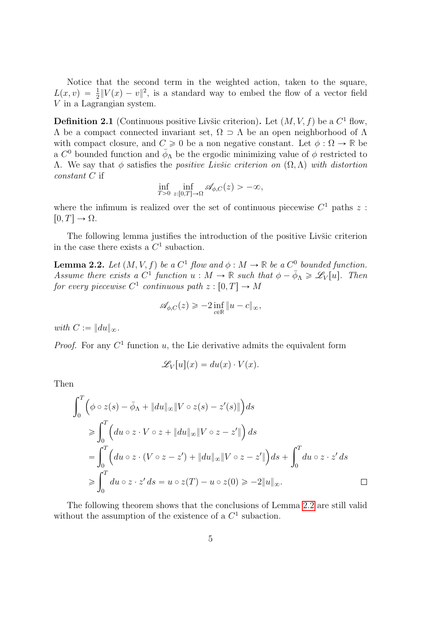Notice that the second term in the weighted action, taken to the square,  $L(x, v) = \frac{1}{2} ||V(x) - v||^2$ , is a standard way to embed the flow of a vector field V in a Lagrangian system.

<span id="page-4-1"></span>**Definition 2.1** (Continuous positive Livšic criterion). Let  $(M, V, f)$  be a  $C^1$  flow,  $Λ$  be a compact connected invariant set,  $Ω \supset Λ$  be an open neighborhood of  $Λ$ with compact closure, and  $C \ge 0$  be a non negative constant. Let  $\phi : \Omega \to \mathbb{R}$  be a  $C^0$  bounded function and  $\bar{\phi}_{\Lambda}$  be the ergodic minimizing value of  $\phi$  restricted to  $Λ.$  We say that φ satisfies the *positive Livšic criterion on*  $(Ω, Λ)$  with distortion constant C if

$$
\inf_{T>0} \inf_{z:[0,T]\to\Omega} \mathscr{A}_{\phi,C}(z) > -\infty,
$$

where the infimum is realized over the set of continuous piecewise  $C^1$  paths z:  $[0, T] \rightarrow \Omega$ .

The following lemma justifies the introduction of the positive Livšic criterion in the case there exists a  $C<sup>1</sup>$  subaction.

<span id="page-4-0"></span>**Lemma 2.2.** Let  $(M, V, f)$  be a  $C^1$  flow and  $\phi : M \to \mathbb{R}$  be a  $C^0$  bounded function. Assume there exists a  $C^1$  function  $u : M \to \mathbb{R}$  such that  $\phi - \bar{\phi}_\Lambda \geq \mathscr{L}_V[u]$ . Then for every piecewise  $C^1$  continuous path  $z : [0, T] \to M$ 

$$
\mathscr{A}_{\phi,C}(z) \geq -2 \inf_{c \in \mathbb{R}} \|u - c\|_{\infty},
$$

with  $C := ||du||_{\infty}$ .

*Proof.* For any  $C<sup>1</sup>$  function u, the Lie derivative admits the equivalent form

$$
\mathscr{L}_V[u](x) = du(x) \cdot V(x).
$$

Then

$$
\int_0^T \left( \phi \circ z(s) - \bar{\phi}_{\Lambda} + \|du\|_{\infty} \|V \circ z(s) - z'(s)\| \right) ds
$$
  
\n
$$
\geq \int_0^T \left( du \circ z \cdot V \circ z + \|du\|_{\infty} \|V \circ z - z'\| \right) ds
$$
  
\n
$$
= \int_0^T \left( du \circ z \cdot (V \circ z - z') + \|du\|_{\infty} \|V \circ z - z'\| \right) ds + \int_0^T du \circ z \cdot z' ds
$$
  
\n
$$
\geq \int_0^T du \circ z \cdot z' ds = u \circ z(T) - u \circ z(0) \geq -2\|u\|_{\infty}.
$$

The following theorem shows that the conclusions of Lemma [2.2](#page-4-0) are still valid without the assumption of the existence of a  $C^1$  subaction.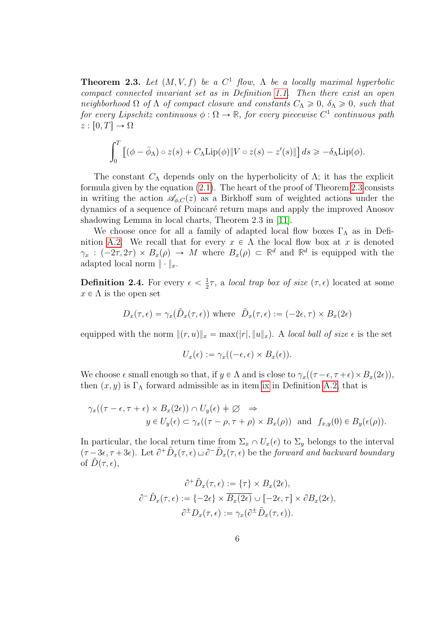<span id="page-5-0"></span>**Theorem 2.3.** Let  $(M, V, f)$  be a  $C^1$  flow,  $\Lambda$  be a locally maximal hyperbolic compact connected invariant set as in Definition [1.1.](#page-1-1) Then there exist an open neighborhood  $\Omega$  of  $\Lambda$  of compact closure and constants  $C_{\Lambda} \geq 0$ ,  $\delta_{\Lambda} \geq 0$ , such that for every Lipschitz continuous  $\phi : \Omega \to \mathbb{R}$ , for every piecewise  $C^1$  continuous path  $z : [0, T] \to \Omega$ 

$$
\int_0^T \left[ (\phi - \bar{\phi}_\Lambda) \circ z(s) + C_\Lambda \text{Lip}(\phi) \| V \circ z(s) - z'(s) \| \right] ds \geq -\delta_\Lambda \text{Lip}(\phi).
$$

The constant  $C_{\Lambda}$  depends only on the hyperbolicity of  $\Lambda$ ; it has the explicit formula given by the equation [\(2.1\)](#page-16-0). The heart of the proof of Theorem [2.3](#page-5-0) consists in writing the action  $\mathscr{A}_{\phi,C}(z)$  as a Birkhoff sum of weighted actions under the dynamics of a sequence of Poincar´e return maps and apply the improved Anosov shadowing Lemma in local charts, Theorem 2.3 in [\[11\]](#page-30-1).

We choose once for all a family of adapted local flow boxes  $\Gamma_{\Lambda}$  as in Defi-nition [A.2.](#page-27-0) We recall that for every  $x \in \Lambda$  the local flow box at x is denoted  $\gamma_x : (-2\tau, 2\tau) \times B_x(\rho) \to M$  where  $B_x(\rho) \subset \mathbb{R}^d$  and  $\mathbb{R}^d$  is equipped with the adapted local norm  $\|\cdot\|_x$ .

<span id="page-5-1"></span>**Definition 2.4.** For every  $\epsilon < \frac{1}{2}$  $\frac{1}{2}\tau$ , a *local trap box of size*  $(\tau, \epsilon)$  located at some  $x \in \Lambda$  is the open set

$$
D_x(\tau, \epsilon) = \gamma_x(\tilde{D}_x(\tau, \epsilon))
$$
 where  $\tilde{D}_x(\tau, \epsilon) := (-2\epsilon, \tau) \times B_x(2\epsilon)$ 

equipped with the norm  $||(r, u)||_x = \max(|r|, ||u||_x)$ . A local ball of size  $\epsilon$  is the set

$$
U_x(\epsilon) := \gamma_x((-\epsilon, \epsilon) \times B_x(\epsilon)).
$$

We choose  $\epsilon$  small enough so that, if  $y \in \Lambda$  and is close to  $\gamma_x((\tau - \epsilon, \tau + \epsilon) \times B_x(2\epsilon)),$ then  $(x, y)$  is Γ<sub>Λ</sub> forward admissible as in item [ix](#page-29-1) in Definition [A.2,](#page-27-0) that is

$$
\gamma_x((\tau - \epsilon, \tau + \epsilon) \times B_x(2\epsilon)) \cap U_y(\epsilon) \neq \varnothing \Rightarrow
$$
  

$$
y \in U_y(\epsilon) \subset \gamma_x((\tau - \rho, \tau + \rho) \times B_x(\rho)) \text{ and } f_{x,y}(0) \in B_y(\epsilon(\rho)).
$$

In particular, the local return time from  $\Sigma_x \cap U_x(\epsilon)$  to  $\Sigma_y$  belongs to the interval  $(\tau - 3\epsilon, \tau + 3\epsilon)$ . Let  $\partial^+ \tilde{D}_x(\tau, \epsilon) \sqcup \partial^- \tilde{D}_x(\tau, \epsilon)$  be the forward and backward boundary of  $D(\tau, \epsilon)$ ,

$$
\partial^+ \tilde{D}_x(\tau, \epsilon) := \{ \tau \} \times B_x(2\epsilon),
$$
  

$$
\partial^- \tilde{D}_x(\tau, \epsilon) := \{ -2\epsilon \} \times \overline{B_x(2\epsilon)} \cup [-2\epsilon, \tau] \times \partial B_x(2\epsilon),
$$
  

$$
\partial^{\pm} D_x(\tau, \epsilon) := \gamma_x(\partial^{\pm} \tilde{D}_x(\tau, \epsilon)).
$$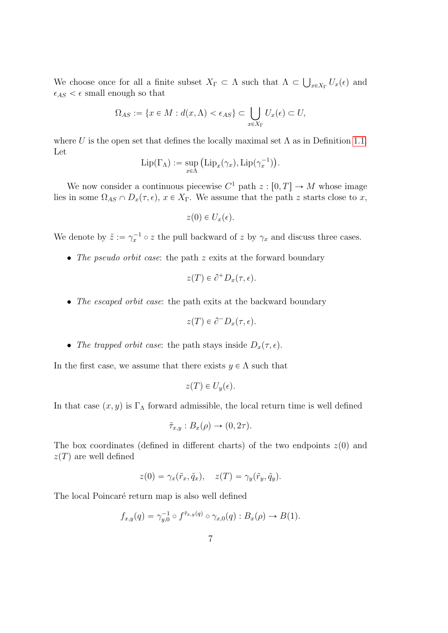We choose once for all a finite subset  $X_{\Gamma} \subset \Lambda$  such that  $\Lambda \subset \bigcup_{x \in X_{\Gamma}} U_x(\epsilon)$  and  $\epsilon_{AS} < \epsilon$  small enough so that

$$
\Omega_{AS} := \{ x \in M : d(x, \Lambda) < \epsilon_{AS} \} \subset \bigcup_{x \in X_{\Gamma}} U_x(\epsilon) \subset U,
$$

where U is the open set that defines the locally maximal set  $\Lambda$  as in Definition [1.1.](#page-1-1) Let

$$
\operatorname{Lip}(\Gamma_{\Lambda}) := \sup_{x \in \Lambda} \left( \operatorname{Lip}_x(\gamma_x), \operatorname{Lip}(\gamma_x^{-1}) \right).
$$

We now consider a continuous piecewise  $C^1$  path  $z : [0, T] \to M$  whose image lies in some  $\Omega_{AS} \cap D_x(\tau, \epsilon)$ ,  $x \in X_\Gamma$ . We assume that the path z starts close to x,

$$
z(0) \in U_x(\epsilon).
$$

We denote by  $\tilde{z} := \gamma_x^{-1} \circ z$  the pull backward of z by  $\gamma_x$  and discuss three cases.

• The pseudo orbit case: the path z exits at the forward boundary

$$
z(T) \in \partial^+ D_x(\tau, \epsilon).
$$

• The escaped orbit case: the path exits at the backward boundary

$$
z(T) \in \partial^{-} D_{x}(\tau, \epsilon).
$$

• The trapped orbit case: the path stays inside  $D_x(\tau, \epsilon)$ .

In the first case, we assume that there exists  $y \in \Lambda$  such that

$$
z(T) \in U_y(\epsilon).
$$

In that case  $(x, y)$  is Γ<sub>Λ</sub> forward admissible, the local return time is well defined

$$
\tilde{\tau}_{x,y}: B_x(\rho) \to (0, 2\tau).
$$

The box coordinates (defined in different charts) of the two endpoints  $z(0)$  and  $z(T)$  are well defined

$$
z(0) = \gamma_x(\tilde{r}_x, \tilde{q}_x), \quad z(T) = \gamma_y(\tilde{r}_y, \tilde{q}_y).
$$

The local Poincaré return map is also well defined

$$
f_{x,y}(q) = \gamma_{y,0}^{-1} \circ f^{\tilde{\tau}_{x,y}(q)} \circ \gamma_{x,0}(q) : B_x(\rho) \to B(1).
$$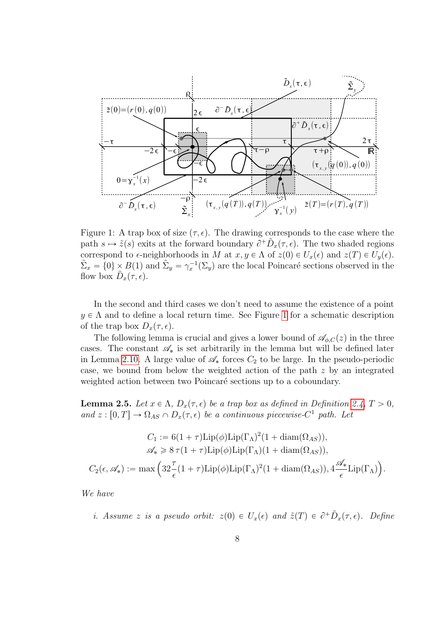

<span id="page-7-0"></span>Figure 1: A trap box of size  $(\tau, \epsilon)$ . The drawing corresponds to the case where the path  $s \mapsto \tilde{z}(s)$  exits at the forward boundary  $\tilde{\partial}^+\tilde{D}_x(\tau,\epsilon)$ . The two shaded regions correspond to  $\epsilon$ -neighborhoods in M at  $x, y \in \Lambda$  of  $z(0) \in U_x(\epsilon)$  and  $z(T) \in U_y(\epsilon)$ .  $\tilde{\Sigma}_x = \{0\} \times B(1)$  and  $\tilde{\Sigma}_y = \gamma_x^{-1}(\Sigma_y)$  are the local Poincaré sections observed in the flow box  $\tilde{D}_x(\tau, \epsilon)$ .

In the second and third cases we don't need to assume the existence of a point  $y \in \Lambda$  and to define a local return time. See Figure [1](#page-7-0) for a schematic description of the trap box  $D_x(\tau, \epsilon)$ .

The following lemma is crucial and gives a lower bound of  $\mathscr{A}_{\phi,C}(z)$  in the three cases. The constant  $\mathscr{A}_{*}$  is set arbitrarily in the lemma but will be defined later in Lemma [2.10.](#page-16-1) A large value of  $\mathscr{A}_{*}$  forces  $C_{2}$  to be large. In the pseudo-periodic case, we bound from below the weighted action of the path  $z$  by an integrated weighted action between two Poincaré sections up to a coboundary.

<span id="page-7-2"></span>**Lemma 2.5.** Let  $x \in \Lambda$ ,  $D_x(\tau, \epsilon)$  be a trap box as defined in Definition [2.4,](#page-5-1)  $T > 0$ , and  $z : [0, T] \to \Omega_{AS} \cap D_x(\tau, \epsilon)$  be a continuous piecewise-C<sup>1</sup> path. Let

$$
C_1 := 6(1+\tau)\text{Lip}(\phi)\text{Lip}(\Gamma_{\Lambda})^2(1+\text{diam}(\Omega_{AS})),
$$
  

$$
\mathscr{A}_* \geq 8\tau(1+\tau)\text{Lip}(\phi)\text{Lip}(\Gamma_{\Lambda})(1+\text{diam}(\Omega_{AS})),
$$
  

$$
C_2(\epsilon, \mathscr{A}_*) := \max\left(32\frac{\tau}{\epsilon}(1+\tau)\text{Lip}(\phi)\text{Lip}(\Gamma_{\Lambda})^2(1+\text{diam}(\Omega_{AS})), 4\frac{\mathscr{A}_*}{\epsilon}\text{Lip}(\Gamma_{\Lambda})\right).
$$

<span id="page-7-1"></span>We have

i. Assume z is a pseudo orbit:  $z(0) \in U_x(\epsilon)$  and  $\tilde{z}(T) \in \partial^+ \tilde{D}_x(\tau, \epsilon)$ . Define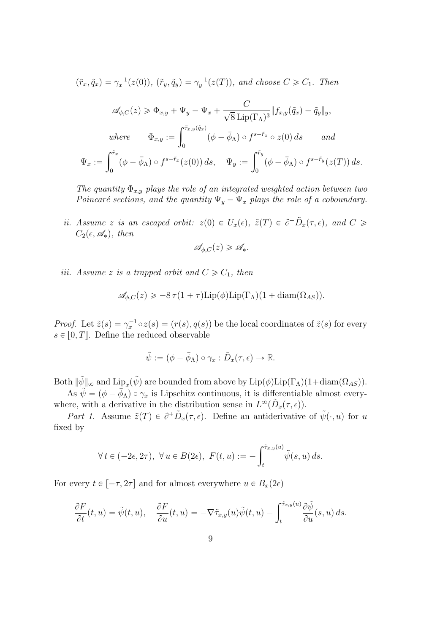$$
(\tilde{r}_x, \tilde{q}_x) = \gamma_x^{-1}(z(0)), \ (\tilde{r}_y, \tilde{q}_y) = \gamma_y^{-1}(z(T)), \ and \ choose \ C \geq C_1. \ Then
$$
  

$$
\mathscr{A}_{\phi, C}(z) \geq \Phi_{x,y} + \Psi_y - \Psi_x + \frac{C}{\sqrt{8} \operatorname{Lip}(\Gamma_\Lambda)^3} \|f_{x,y}(\tilde{q}_x) - \tilde{q}_y\|_y,
$$
  
where 
$$
\Phi_{x,y} := \int_0^{\tilde{r}_{x,y}(\tilde{q}_x)} (\phi - \bar{\phi}_\Lambda) \circ f^{s - \tilde{r}_x} \circ z(0) \, ds \quad \text{and}
$$
  

$$
\Psi_x := \int_0^{\tilde{r}_x} (\phi - \bar{\phi}_\Lambda) \circ f^{s - \tilde{r}_x}(z(0)) \, ds, \quad \Psi_y := \int_0^{\tilde{r}_y} (\phi - \bar{\phi}_\Lambda) \circ f^{s - \tilde{r}_y}(z(T)) \, ds.
$$

The quantity  $\Phi_{x,y}$  plays the role of an integrated weighted action between two Poincaré sections, and the quantity  $\Psi_y - \Psi_x$  plays the role of a coboundary.

<span id="page-8-1"></span>ii. Assume z is an escaped orbit:  $z(0) \in U_x(\epsilon)$ ,  $\tilde{z}(T) \in \partial^-\tilde{D}_x(\tau,\epsilon)$ , and  $C \geq$  $C_2(\epsilon, \mathscr{A}_*)$ , then

$$
\mathscr{A}_{\phi,C}(z) \geqslant \mathscr{A}_*.
$$

<span id="page-8-0"></span>iii. Assume z is a trapped orbit and  $C \geq C_1$ , then

$$
\mathscr{A}_{\phi,C}(z) \geqslant -8\,\tau(1+\tau)\mathrm{Lip}(\phi)\mathrm{Lip}(\Gamma_\Lambda)(1+\mathrm{diam}(\Omega_{AS})).
$$

*Proof.* Let  $\tilde{z}(s) = \gamma_x^{-1} \circ z(s) = (r(s), q(s))$  be the local coordinates of  $\tilde{z}(s)$  for every  $s \in [0, T]$ . Define the reduced observable

$$
\tilde{\psi} := (\phi - \bar{\phi}_{\Lambda}) \circ \gamma_x : \tilde{D}_x(\tau, \epsilon) \to \mathbb{R}.
$$

Both  $\|\tilde{\psi}\|_{\infty}$  and  $\mathrm{Lip}_x(\tilde{\psi})$  are bounded from above by  $\mathrm{Lip}(\phi)\mathrm{Lip}(\Gamma_{\Lambda})(1+\mathrm{diam}(\Omega_{AS}))$ .

As  $\tilde{\psi} = (\phi - \bar{\phi}_\Lambda) \circ \gamma_x$  is Lipschitz continuous, it is differentiable almost everywhere, with a derivative in the distribution sense in  $L^{\infty}(\tilde{D}_x(\tau, \epsilon)).$ 

Part 1. Assume  $\tilde{z}(T) \in \partial^+ \tilde{D}_x(\tau, \epsilon)$ . Define an antiderivative of  $\tilde{\psi}(\cdot, u)$  for u fixed by

$$
\forall t \in (-2\epsilon, 2\tau), \ \forall u \in B(2\epsilon), \ F(t, u) := -\int_t^{\tilde{\tau}_{x,y}(u)} \tilde{\psi}(s, u) \, ds.
$$

For every  $t \in [-\tau, 2\tau]$  and for almost everywhere  $u \in B_x(2\epsilon)$ 

$$
\frac{\partial F}{\partial t}(t,u) = \tilde{\psi}(t,u), \quad \frac{\partial F}{\partial u}(t,u) = -\nabla \tilde{\tau}_{x,y}(u)\tilde{\psi}(t,u) - \int_t^{\tilde{\tau}_{x,y}(u)} \frac{\partial \tilde{\psi}}{\partial u}(s,u) \, ds.
$$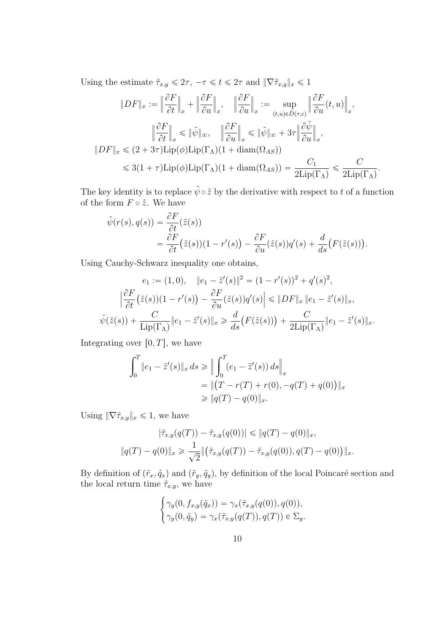Using the estimate  $\tilde{\tau}_{x,y} \leq 2\tau$ ,  $-\tau \leq t \leq 2\tau$  and  $\|\nabla \tilde{\tau}_{x,y}\|_{x} \leq 1$ 

$$
||DF||_{x} := \left\|\frac{\partial F}{\partial t}\right\|_{x} + \left\|\frac{\partial F}{\partial u}\right\|_{x}, \quad \left\|\frac{\partial F}{\partial u}\right\|_{x} := \sup_{(t,u)\in \tilde{D}(\tau,\epsilon)} \left\|\frac{\partial F}{\partial u}(t,u)\right\|_{x},
$$

$$
\left\|\frac{\partial F}{\partial t}\right\|_{x} \le ||\tilde{\psi}||_{\infty}, \quad \left\|\frac{\partial F}{\partial u}\right\|_{x} \le ||\tilde{\psi}||_{\infty} + 3\tau \left\|\frac{\partial \tilde{\psi}}{\partial u}\right\|_{x},
$$

$$
||DF||_{x} \le (2+3\tau)\text{Lip}(\phi)\text{Lip}(\Gamma_{\Lambda})(1+\text{diam}(\Omega_{AS}))
$$

$$
\le 3(1+\tau)\text{Lip}(\phi)\text{Lip}(\Gamma_{\Lambda})(1+\text{diam}(\Omega_{AS})) = \frac{C_{1}}{2\text{Lip}(\Gamma_{\Lambda})} \le \frac{C}{2\text{Lip}(\Gamma_{\Lambda})}.
$$

The key identity is to replace  $\tilde{\psi} \circ \tilde{z}$  by the derivative with respect to t of a function of the form  $F \circ \tilde{z}$ . We have

$$
\tilde{\psi}(r(s), q(s)) = \frac{\partial F}{\partial t}(\tilde{z}(s))
$$
\n
$$
= \frac{\partial F}{\partial t}(\tilde{z}(s))(1 - r'(s)) - \frac{\partial F}{\partial u}(\tilde{z}(s))q'(s) + \frac{d}{ds}(F(\tilde{z}(s))).
$$

Using Cauchy-Schwarz inequality one obtains,

$$
e_1 := (1,0), \quad \|e_1 - \tilde{z}'(s)\|^2 = (1 - r'(s))^2 + q'(s)^2,
$$

$$
\left|\frac{\partial F}{\partial t}(\tilde{z}(s))(1 - r'(s)) - \frac{\partial F}{\partial u}(\tilde{z}(s))q'(s)\right| \le \|DF\|_x \|e_1 - \tilde{z}'(s)\|_x,
$$

$$
\tilde{\psi}(\tilde{z}(s)) + \frac{C}{\text{Lip}(\Gamma_\Lambda)} \|e_1 - \tilde{z}'(s)\|_x \ge \frac{d}{ds} (F(\tilde{z}(s))) + \frac{C}{2\text{Lip}(\Gamma_\Lambda)} \|e_1 - \tilde{z}'(s)\|_x.
$$

Integrating over  $[0, T]$ , we have

$$
\int_0^T \|e_1 - \tilde{z}'(s)\|_{x} ds \ge \left\| \int_0^T (e_1 - \tilde{z}'(s)) ds \right\|_{x}
$$
  
=  $\left\| (T - r(T) + r(0), -q(T) + q(0)) \right\|_{x}$   
 $\ge \left\| q(T) - q(0) \right\|_{x}.$ 

Using  $\|\nabla \tilde{\tau}_{x,y}\|_{x} \leq 1$ , we have

$$
|\tilde{\tau}_{x,y}(q(T)) - \tilde{\tau}_{x,y}(q(0))| \leq \|q(T) - q(0)\|_{x},
$$
  

$$
\|q(T) - q(0)\|_{x} \geq \frac{1}{\sqrt{2}} \|(\tilde{\tau}_{x,y}(q(T)) - \tilde{\tau}_{x,y}(q(0)), q(T) - q(0))\|_{x}.
$$

By definition of  $(\tilde{r}_x, \tilde{q}_x)$  and  $(\tilde{r}_y, \tilde{q}_y)$ , by definition of the local Poincaré section and the local return time  $\tilde{\tau}_{x,y}$ , we have #

$$
\begin{cases}\n\gamma_y(0, f_{x,y}(\tilde{q}_x)) = \gamma_x(\tilde{\tau}_{x,y}(q(0)), q(0)), \\
\gamma_y(0, \tilde{q}_y) = \gamma_x(\tilde{\tau}_{x,y}(q(T)), q(T)) \in \Sigma_y.\n\end{cases}
$$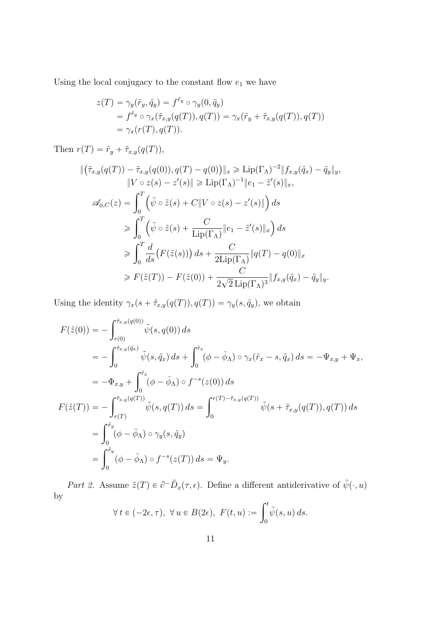Using the local conjugacy to the constant flow  $\boldsymbol{e}_1$  we have

$$
z(T) = \gamma_y(\tilde{r}_y, \tilde{q}_y) = f^{\tilde{r}_y} \circ \gamma_y(0, \tilde{q}_y)
$$
  
=  $f^{\tilde{r}_y} \circ \gamma_x(\tilde{\tau}_{x,y}(q(T)), q(T)) = \gamma_x(\tilde{r}_y + \tilde{\tau}_{x,y}(q(T)), q(T))$   
=  $\gamma_x(r(T), q(T)).$ 

Then  $r(T) = \tilde{r}_y + \tilde{\tau}_{x,y}(q(T)),$ 

$$
\begin{split}\n\|(\tilde{\tau}_{x,y}(q(T)) - \tilde{\tau}_{x,y}(q(0)), q(T) - q(0))\|_{x} &\geq \operatorname{Lip}(\Gamma_{\Lambda})^{-2} \|f_{x,y}(\tilde{q}_{x}) - \tilde{q}_{y}\|_{y}, \\
\|V \circ z(s) - z'(s)\| &\geq \operatorname{Lip}(\Gamma_{\Lambda})^{-1} \|e_{1} - \tilde{z}'(s)\|_{x}, \\
\mathcal{A}_{\phi,C}(z) &= \int_{0}^{T} \left(\tilde{\psi} \circ \tilde{z}(s) + C \|V \circ z(s) - z'(s)\|\right) ds \\
&\geq \int_{0}^{T} \left(\tilde{\psi} \circ \tilde{z}(s) + \frac{C}{\operatorname{Lip}(\Gamma_{\Lambda})} \|e_{1} - \tilde{z}'(s)\|_{x}\right) ds \\
&\geq \int_{0}^{T} \frac{d}{ds} \left(F(\tilde{z}(s))\right) ds + \frac{C}{2\operatorname{Lip}(\Gamma_{\Lambda})} \|q(T) - q(0)\|_{x} \\
&\geq F(\tilde{z}(T)) - F(\tilde{z}(0)) + \frac{C}{2\sqrt{2} \operatorname{Lip}(\Gamma_{\Lambda})^{3}} \|f_{x,y}(\tilde{q}_{x}) - \tilde{q}_{y}\|_{y}.\n\end{split}
$$

Using the identity  $\gamma_x(s + \tilde{\tau}_{x,y}(q(T)), q(T)) = \gamma_y(s, \tilde{q}_y)$ , we obtain

$$
F(\tilde{z}(0)) = -\int_{r(0)}^{\tilde{\tau}_{x,y}(q(0))} \tilde{\psi}(s, q(0)) ds
$$
  
\n
$$
= -\int_{0}^{\tilde{\tau}_{x,y}(\tilde{q}_{x})} \tilde{\psi}(s, \tilde{q}_{x}) ds + \int_{0}^{\tilde{r}_{x}} (\phi - \bar{\phi}_{\Lambda}) \circ \gamma_{x}(\tilde{r}_{x} - s, \tilde{q}_{x}) ds = -\Psi_{x,y} + \Psi_{x},
$$
  
\n
$$
= -\Phi_{x,y} + \int_{0}^{\tilde{r}_{x}} (\phi - \bar{\phi}_{\Lambda}) \circ f^{-s}(z(0)) ds
$$
  
\n
$$
F(\tilde{z}(T)) = -\int_{r(T)}^{\tilde{\tau}_{x,y}(q(T))} \tilde{\psi}(s, q(T)) ds = \int_{0}^{r(T) - \tilde{\tau}_{x,y}(q(T))} \tilde{\psi}(s + \tilde{\tau}_{x,y}(q(T)), q(T)) ds
$$
  
\n
$$
= \int_{0}^{\tilde{r}_{y}} (\phi - \bar{\phi}_{\Lambda}) \circ \gamma_{y}(s, \tilde{q}_{y})
$$
  
\n
$$
= \int_{0}^{\tilde{r}_{y}} (\phi - \bar{\phi}_{\Lambda}) \circ f^{-s}(z(T)) ds = \Psi_{y}.
$$

Part 2. Assume  $\tilde{z}(T) \in \partial^- \tilde{D}_x(\tau, \epsilon)$ . Define a different antiderivative of  $\tilde{\psi}(\cdot, u)$ by  $\mathbf{r}^t$ 

$$
\forall t \in (-2\epsilon, \tau), \ \forall u \in B(2\epsilon), \ F(t, u) := \int_0^t \tilde{\psi}(s, u) \, ds.
$$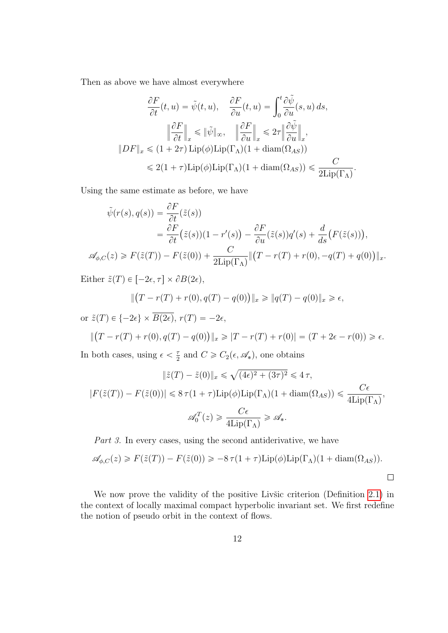Then as above we have almost everywhere

$$
\frac{\partial F}{\partial t}(t, u) = \tilde{\psi}(t, u), \quad \frac{\partial F}{\partial u}(t, u) = \int_0^t \frac{\partial \tilde{\psi}}{\partial u}(s, u) ds,
$$

$$
\left\| \frac{\partial F}{\partial t} \right\|_x \le \|\tilde{\psi}\|_{\infty}, \quad \left\| \frac{\partial F}{\partial u} \right\|_x \le 2\tau \left\| \frac{\partial \tilde{\psi}}{\partial u} \right\|_x,
$$

$$
\|DF\|_x \le (1 + 2\tau) \operatorname{Lip}(\phi) \operatorname{Lip}(\Gamma_\Lambda)(1 + \operatorname{diam}(\Omega_{AS}))
$$

$$
\le 2(1 + \tau) \operatorname{Lip}(\phi) \operatorname{Lip}(\Gamma_\Lambda)(1 + \operatorname{diam}(\Omega_{AS})) \le \frac{C}{2\operatorname{Lip}(\Gamma_\Lambda)}.
$$

Using the same estimate as before, we have

$$
\tilde{\psi}(r(s), q(s)) = \frac{\partial F}{\partial t}(\tilde{z}(s))
$$
\n
$$
= \frac{\partial F}{\partial t}(\tilde{z}(s))(1 - r'(s)) - \frac{\partial F}{\partial u}(\tilde{z}(s))q'(s) + \frac{d}{ds}(F(\tilde{z}(s))),
$$
\n
$$
\mathscr{A}_{\phi,C}(z) \ge F(\tilde{z}(T)) - F(\tilde{z}(0)) + \frac{C}{2\text{Lip}(\Gamma_{\Lambda})} \|(T - r(T) + r(0), -q(T) + q(0))\|_{x}.
$$

Either  $\tilde{z}(T) \in [-2\epsilon, \tau] \times \partial B(2\epsilon),$ `

$$
\|(T - r(T) + r(0), q(T) - q(0))\|_{x} \ge \|q(T) - q(0)\|_{x} \ge \epsilon,
$$

or  $\tilde{z}(T) \in \{-2\epsilon\} \times \overline{B(2\epsilon)}, r(T) = -2\epsilon,$ 

$$
\|(T - r(T) + r(0), q(T) - q(0))\|_{x} \ge |T - r(T) + r(0)| = (T + 2\epsilon - r(0)) \ge \epsilon.
$$

In both cases, using  $\epsilon < \frac{\tau}{2}$  $\frac{\tau}{2}$  and  $C \geqslant C_2(\epsilon, \mathscr{A}_*)$ , one obtains

$$
\|\tilde{z}(T) - \tilde{z}(0)\|_{x} \le \sqrt{(4\epsilon)^{2} + (3\tau)^{2}} \le 4\tau,
$$
  

$$
|F(\tilde{z}(T)) - F(\tilde{z}(0))| \le 8\tau(1+\tau)\operatorname{Lip}(\phi)\operatorname{Lip}(\Gamma_{\Lambda})(1 + \operatorname{diam}(\Omega_{AS})) \le \frac{C\epsilon}{4\operatorname{Lip}(\Gamma_{\Lambda})},
$$
  

$$
\mathscr{A}_{0}^{T}(z) \ge \frac{C\epsilon}{4\operatorname{Lip}(\Gamma_{\Lambda})} \ge \mathscr{A}_{*}.
$$

Part 3. In every cases, using the second antiderivative, we have

$$
\mathscr{A}_{\phi,C}(z) \ge F(\tilde{z}(T)) - F(\tilde{z}(0)) \ge -8\,\tau(1+\tau)\mathrm{Lip}(\phi)\mathrm{Lip}(\Gamma_{\Lambda})(1+\mathrm{diam}(\Omega_{AS})).
$$

We now prove the validity of the positive Livisc criterion (Definition  $2.1$ ) in the context of locally maximal compact hyperbolic invariant set. We first redefine the notion of pseudo orbit in the context of flows.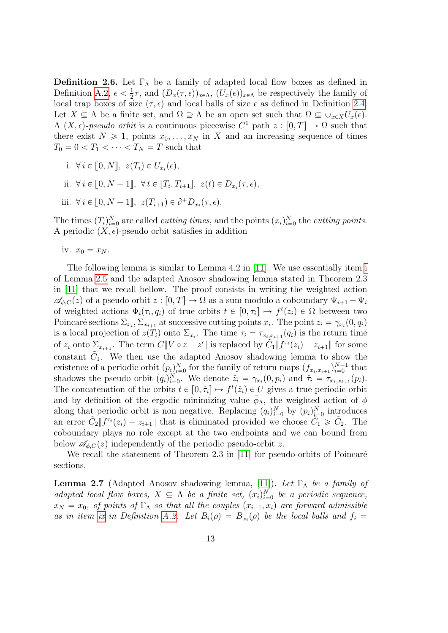<span id="page-12-0"></span>**Definition 2.6.** Let  $\Gamma_{\Lambda}$  be a family of adapted local flow boxes as defined in Definition [A.2,](#page-27-0)  $\epsilon < \frac{1}{2}$  $\frac{1}{2}\tau$ , and  $(D_x(\tau,\epsilon))_{x\in\Lambda}$ ,  $(U_x(\epsilon))_{x\in\Lambda}$  be respectively the family of local trap boxes of size  $(\tau, \epsilon)$  and local balls of size  $\epsilon$  as defined in Definition [2.4.](#page-5-1) Let  $X \subseteq \Lambda$  be a finite set, and  $\Omega \supseteq \Lambda$  be an open set such that  $\Omega \subseteq \cup_{x \in X}U_x(\epsilon)$ . A  $(X, \epsilon)$ -pseudo orbit is a continuous piecewise  $C^1$  path  $z : [0, T] \to \Omega$  such that there exist  $N \ge 1$ , points  $x_0, \ldots, x_N$  in X and an increasing sequence of times  $T_0 = 0 < T_1 < \cdots < T_N = T$  such that

i. 
$$
\forall i \in [0, N], z(T_i) \in U_{x_i}(\epsilon),
$$

ii. 
$$
\forall i \in [0, N-1], \forall t \in [T_i, T_{i+1}], z(t) \in D_{x_i}(\tau, \epsilon),
$$

iii.  $\forall i \in [0, N-1], z(T_{i+1}) \in \partial^+D_{x_i}(\tau, \epsilon).$ 

The times  $(T_i)_{i=0}^N$  are called *cutting times*, and the points  $(x_i)_{i=0}^N$  the *cutting points*. A periodic  $(X, \epsilon)$ -pseudo orbit satisfies in addition

iv.  $x_0 = x_N$ .

The following lemma is similar to Lemma 4.2 in [\[11\]](#page-30-1). We use essentially item [i](#page-7-1) of Lemma [2.5](#page-7-2) and the adapted Anosov shadowing lemma stated in Theorem 2.3 in [\[11\]](#page-30-1) that we recall bellow. The proof consists in writing the weighted action  $\mathscr{A}_{\phi,C}(z)$  of a pseudo orbit  $z : [0, T] \to \Omega$  as a sum modulo a coboundary  $\Psi_{i+1} - \Psi_i$ of weighted actions  $\Phi_i(\tau_i, q_i)$  of true orbits  $t \in [0, \tau_i] \mapsto f^t(z_i) \in \Omega$  between two Poincaré sections  $\Sigma_{x_i}, \Sigma_{x_{i+1}}$  at successive cutting points  $x_i$ . The point  $z_i = \gamma_{x_i}(0, q_i)$ is a local projection of  $z(T_i)$  onto  $\Sigma_{x_i}$ . The time  $\tau_i = \tau_{x_i, x_{i+1}}(q_i)$  is the return time of  $z_i$  onto  $\Sigma_{x_{i+1}}$ . The term  $C||V \circ z - z'||$  is replaced by  $\tilde{C}_1||f^{\tau_i}(z_i) - z_{i+1}||$  for some constant  $\tilde{C}_1$ . We then use the adapted Anosov shadowing lemma to show the existence of a periodic orbit  $(p_i)_{i=0}^N$  for the family of return maps  $(f_{x_i,x_{i+1}})_{i=0}^{N-1}$  that shadows the pseudo orbit  $(q_i)_{i=0}^N$ . We denote  $\hat{z}_i = \gamma_{x_i}(0, p_i)$  and  $\hat{\tau}_i = \tau_{x_i, x_{i+1}}(p_i)$ . The concatenation of the orbits  $t \in [0, \hat{\tau}_i] \mapsto f^t(\hat{z}_i) \in U$  gives a true periodic orbit and by definition of the ergodic minimizing value  $\bar{\phi}_{\Lambda}$ , the weighted action of  $\phi$ along that periodic orbit is non negative. Replacing  $(q_i)_{i=0}^N$  by  $(p_i)_{i=0}^N$  introduces an error  $\tilde{C}_2 || f^{\tau_i}(z_i) - z_{i+1} ||$  that is eliminated provided we choose  $\tilde{C}_1 \geq \tilde{C}_2$ . The coboundary plays no role except at the two endpoints and we can bound from below  $\mathscr{A}_{\phi,C}(z)$  independently of the periodic pseudo-orbit z.

We recall the statement of Theorem 2.3 in  $[11]$  for pseudo-orbits of Poincaré sections.

<span id="page-12-1"></span>**Lemma 2.7** (Adapted Anosov shadowing lemma, [\[11\]](#page-30-1)). Let  $\Gamma_{\Lambda}$  be a family of adapted local flow boxes,  $X \subseteq \Lambda$  be a finite set,  $(x_i)_{i=0}^N$  be a periodic sequence,  $x_N = x_0$ , of points of  $\Gamma_{\Lambda}$  so that all the couples  $(x_{i-1}, x_i)$  are forward admissible as in item [ix](#page-29-1) in Definition [A.2.](#page-27-0) Let  $B_i(\rho) = B_{x_i}(\rho)$  be the local balls and  $f_i =$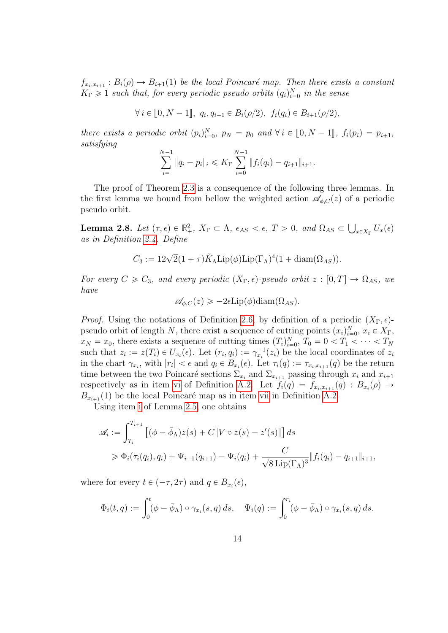$f_{x_i,x_{i+1}}: B_i(\rho) \to B_{i+1}(1)$  be the local Poincaré map. Then there exists a constant  $K_{\Gamma} \geq 1$  such that, for every periodic pseudo orbits  $(q_i)_{i=0}^N$  in the sense

 $\forall i \in [0, N - 1], q_i, q_{i+1} \in B_i(\rho/2), f_i(q_i) \in B_{i+1}(\rho/2),$ 

there exists a periodic orbit  $(p_i)_{i=0}^N$ ,  $p_N = p_0$  and  $\forall i \in [0, N-1]$ ,  $f_i(p_i) = p_{i+1}$ , satisfying

$$
\sum_{i=1}^{N-1} \|q_i - p_i\|_i \leqslant K_\Gamma \sum_{i=0}^{N-1} \|f_i(q_i) - q_{i+1}\|_{i+1}.
$$

The proof of Theorem [2.3](#page-5-0) is a consequence of the following three lemmas. In the first lemma we bound from bellow the weighted action  $\mathscr{A}_{\phi,C}(z)$  of a periodic pseudo orbit.

<span id="page-13-0"></span>**Lemma 2.8.** Let  $(\tau, \epsilon) \in \mathbb{R}^2_+$ ,  $X_{\Gamma} \subset \Lambda$ ,  $\epsilon_{AS} < \epsilon$ ,  $T > 0$ , and  $\Omega_{AS} \subset$  $\int_{x \in X_\Gamma} U_x(\epsilon)$ as in Definition [2.4.](#page-5-1) Define

$$
C_3 := 12\sqrt{2}(1+\tau)\tilde{K}_{\Lambda}\text{Lip}(\phi)\text{Lip}(\Gamma_{\Lambda})^4(1+\text{diam}(\Omega_{AS})).
$$

For every  $C \geq C_3$ , and every periodic  $(X_{\Gamma}, \epsilon)$ -pseudo orbit  $z : [0, T] \rightarrow \Omega_{AS}$ , we have

$$
\mathscr{A}_{\phi,C}(z) \geq -2\epsilon \operatorname{Lip}(\phi)\operatorname{diam}(\Omega_{AS}).
$$

*Proof.* Using the notations of Definition [2.6,](#page-12-0) by definition of a periodic  $(X_{\Gamma}, \epsilon)$ pseudo orbit of length N, there exist a sequence of cutting points  $(x_i)_{i=0}^N$ ,  $x_i \in X_\Gamma$ ,  $x_N = x_0$ , there exists a sequence of cutting times  $(T_i)_{i=0}^N$ ,  $T_0 = 0 < T_1 < \cdots < T_N$ such that  $z_i := z(T_i) \in U_{x_i}(\epsilon)$ . Let  $(r_i, q_i) := \gamma_{x_i}^{-1}(z_i)$  be the local coordinates of  $z_i$ in the chart  $\gamma_{x_i}$ , with  $|r_i| < \epsilon$  and  $q_i \in B_{x_i}(\epsilon)$ . Let  $\tau_i(q) := \tau_{x_i, x_{i+1}}(q)$  be the return time between the two Poincaré sections  $\Sigma_{x_i}$  and  $\Sigma_{x_{i+1}}$  passing through  $x_i$  and  $x_{i+1}$ respectively as in item [vi](#page-28-0) of Definition [A.2.](#page-27-0) Let  $f_i(q) = f_{x_i, x_{i+1}}(q) : B_{x_i}(p) \rightarrow$  $B_{x_{i+1}}(1)$  be the local Poincaré map as in item [vii](#page-28-1) in Definition [A.2.](#page-27-0)

Using item [i](#page-7-1) of Lemma [2.5,](#page-7-2) one obtains

$$
\mathscr{A}_i := \int_{T_i}^{T_{i+1}} \left[ (\phi - \bar{\phi}_{\Lambda}) z(s) + C \| V \circ z(s) - z'(s) \| \right] ds
$$
  
\n
$$
\geq \Phi_i(\tau_i(q_i), q_i) + \Psi_{i+1}(q_{i+1}) - \Psi_i(q_i) + \frac{C}{\sqrt{8} \operatorname{Lip}(\Gamma_{\Lambda})^3} \| f_i(q_i) - q_{i+1} \|_{i+1},
$$

where for every  $t \in (-\tau, 2\tau)$  and  $q \in B_{x_i}(\epsilon)$ ,

$$
\Phi_i(t,q) := \int_0^t (\phi - \bar{\phi}_\Lambda) \circ \gamma_{x_i}(s,q) \, ds, \quad \Psi_i(q) := \int_0^{r_i} (\phi - \bar{\phi}_\Lambda) \circ \gamma_{x_i}(s,q) \, ds.
$$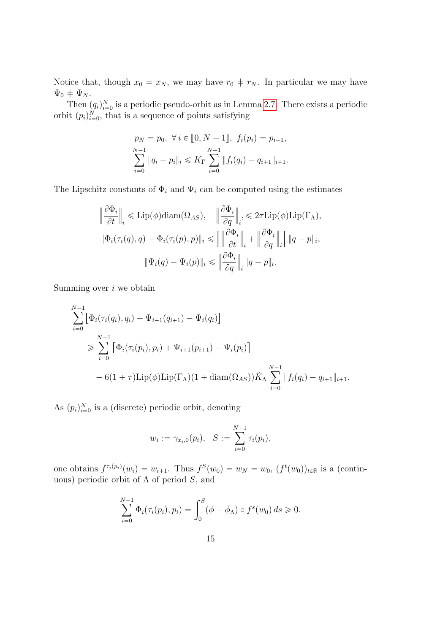Notice that, though  $x_0 = x_N$ , we may have  $r_0 \neq r_N$ . In particular we may have  $\Psi_0 + \Psi_N$ .

Then  $(q_i)_{i=0}^N$  is a periodic pseudo-orbit as in Lemma [2.7.](#page-12-1) There exists a periodic orbit  $(p_i)_{i=0}^N$ , that is a sequence of points satisfying

$$
p_N = p_0, \ \forall \ i \in [0, N - 1], \ f_i(p_i) = p_{i+1},
$$
  

$$
\sum_{i=0}^{N-1} \|q_i - p_i\|_i \leq K_\Gamma \sum_{i=0}^{N-1} \|f_i(q_i) - q_{i+1}\|_{i+1}.
$$

The Lipschitz constants of  $\Phi_i$  and  $\Psi_i$  can be computed using the estimates

$$
\begin{aligned}\n\left\|\frac{\partial \Phi_i}{\partial t}\right\|_i &\leq \mathrm{Lip}(\phi)\mathrm{diam}(\Omega_{AS}), \quad \left\|\frac{\partial \Phi_i}{\partial q}\right\|_i, \leq 2\tau \mathrm{Lip}(\phi)\mathrm{Lip}(\Gamma_{\Lambda}), \\
\left\|\Phi_i(\tau_i(q), q) - \Phi_i(\tau_i(p), p)\right\|_i &\leq \left[\left\|\frac{\partial \Phi_i}{\partial t}\right\|_i + \left\|\frac{\partial \Phi_i}{\partial q}\right\|_i\right] \|q - p\|_i, \\
\left\|\Psi_i(q) - \Psi_i(p)\right\|_i &\leq \left\|\frac{\partial \Phi_i}{\partial q}\right\|_i \|q - p\|_i.\n\end{aligned}
$$

Summing over  $i$  we obtain

$$
\sum_{i=0}^{N-1} \left[ \Phi_i(\tau_i(q_i), q_i) + \Psi_{i+1}(q_{i+1}) - \Psi_i(q_i) \right]
$$
\n
$$
\geq \sum_{i=0}^{N-1} \left[ \Phi_i(\tau_i(p_i), p_i) + \Psi_{i+1}(p_{i+1}) - \Psi_i(p_i) \right]
$$
\n
$$
- 6(1 + \tau) \operatorname{Lip}(\phi) \operatorname{Lip}(\Gamma_\Lambda) (1 + \operatorname{diam}(\Omega_{AS})) \tilde{K}_\Lambda \sum_{i=0}^{N-1} \| f_i(q_i) - q_{i+1} \|_{i+1}.
$$

As  $(p_i)_{i=0}^N$  is a (discrete) periodic orbit, denoting

$$
w_i := \gamma_{x_i,0}(p_i), \quad S := \sum_{i=0}^{N-1} \tau_i(p_i),
$$

one obtains  $f^{\tau_i(p_i)}(w_i) = w_{i+1}$ . Thus  $f^S(w_0) = w_N = w_0$ ,  $(f^t(w_0))_{t \in \mathbb{R}}$  is a (continuous) periodic orbit of  $\Lambda$  of period  $S$ , and

$$
\sum_{i=0}^{N-1} \Phi_i(\tau_i(p_i), p_i) = \int_0^S (\phi - \bar{\phi}_\Lambda) \circ f^s(w_0) \, ds \ge 0.
$$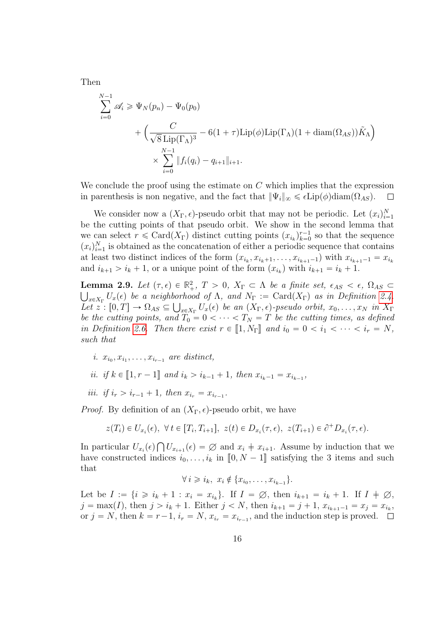Then

$$
\sum_{i=0}^{N-1} \mathscr{A}_i \geqslant \Psi_N(p_n) - \Psi_0(p_0)
$$
  
+ 
$$
\left(\frac{C}{\sqrt{8} \operatorname{Lip}(\Gamma_\Lambda)^3} - 6(1+\tau)\operatorname{Lip}(\phi) \operatorname{Lip}(\Gamma_\Lambda)(1+\operatorname{diam}(\Omega_{AS}))\tilde{K}_\Lambda\right)
$$
  
 
$$
\times \sum_{i=0}^{N-1} \|f_i(q_i) - q_{i+1}\|_{i+1}.
$$

We conclude the proof using the estimate on C which implies that the expression in parenthesis is non negative, and the fact that  $|\Psi_i|_{\infty} \leq \epsilon \text{Lip}(\phi) \text{diam}(\Omega_{AS})$ .  $\Box$ 

We consider now a  $(X_{\Gamma}, \epsilon)$ -pseudo orbit that may not be periodic. Let  $(x_i)_{i=1}^N$ be the cutting points of that pseudo orbit. We show in the second lemma that we can select  $r \leq \text{Card}(X_{\Gamma})$  distinct cutting points  $(x_{i_k})_{k=0}^{r-1}$  $\binom{r-1}{k=0}$  so that the sequence  $(x_i)_{i=1}^N$  is obtained as the concatenation of either a periodic sequence that contains at least two distinct indices of the form  $(x_{i_k}, x_{i_{k+1}}, \ldots, x_{i_{k+1}-1})$  with  $x_{i_{k+1}-1} = x_{i_k}$ and  $i_{k+1} > i_k + 1$ , or a unique point of the form  $(x_{i_k})$  with  $i_{k+1} = i_k + 1$ .

<span id="page-15-0"></span>**Lemma 2.9.** Let  $(\tau, \epsilon) \in \mathbb{R}^2_+$ ,  $T > 0$ ,  $X_{\Gamma} \subset \Lambda$  be a finite set,  $\epsilon_{AS} < \epsilon$ ,  $\Omega_{AS} \subset$  $\lim_{x\in X_\Gamma} U_x(\epsilon)$  be a neighborhood of  $\Lambda$ , and  $N_\Gamma := \mathrm{Card}(X_\Gamma)$  as in Definition [2.4.](#page-5-1) Let  $z : [0, T] \to \Omega_{AS} \subseteq \bigcup_{x \in X_{\Gamma}} U_x(\epsilon)$  be an  $(X_{\Gamma}, \epsilon)$ -pseudo orbit,  $x_0, \ldots, x_N$  in  $X_{\Gamma}$ be the cutting points, and  $T_0 = 0 < \cdots < T_N = T$  be the cutting times, as defined in Definition [2.6.](#page-12-0) Then there exist  $r \in [1, N_{\Gamma}]$  and  $i_0 = 0 < i_1 < \cdots < i_r = N$ , such that

- i.  $x_{i_0}, x_{i_1}, \ldots, x_{i_{r-1}}$  are distinct,
- *ii. if*  $k \in [1, r 1]$  and  $i_k > i_{k-1} + 1$ , then  $x_{i_k-1} = x_{i_{k-1}}$ ,
- *iii.* if  $i_r > i_{r-1} + 1$ , then  $x_{i_r} = x_{i_{r-1}}$ .

*Proof.* By definition of an  $(X_{\Gamma}, \epsilon)$ -pseudo orbit, we have

$$
z(T_i) \in U_{x_i}(\epsilon), \ \forall \ t \in [T_i, T_{i+1}], \ z(t) \in D_{x_i}(\tau, \epsilon), \ z(T_{i+1}) \in \partial^+ D_{x_i}(\tau, \epsilon).
$$

In particular  $U_{x_i}(\epsilon) \bigcap U_{x_{i+1}}(\epsilon) = \emptyset$  and  $x_i \neq x_{i+1}$ . Assume by induction that we have constructed indices  $i_0, \ldots, i_k$  in  $[0, N - 1]$  satisfying the 3 items and such that

 $\forall i \geq i_k, \ x_i \notin \{x_{i_0}, \dots, x_{i_{k-1}}\}.$ 

Let be  $I := \{i \geq i_k + 1 : x_i = x_{i_k}\}\$ . If  $I = \emptyset$ , then  $i_{k+1} = i_k + 1$ . If  $I \neq \emptyset$ ,  $j = \max(I)$ , then  $j > i_k + 1$ . Either  $j < N$ , then  $i_{k+1} = j + 1$ ,  $x_{i_{k+1}-1} = x_j = x_{i_k}$ , or  $j = N$ , then  $k = r - 1$ ,  $i_r = N$ ,  $x_{i_r} = x_{i_{r-1}}$ , and the induction step is proved.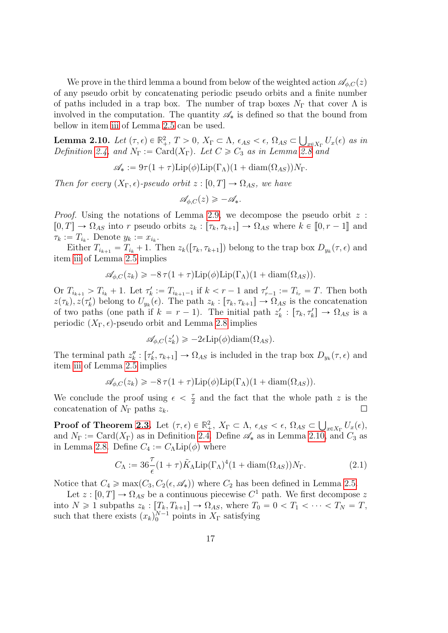We prove in the third lemma a bound from below of the weighted action  $\mathscr{A}_{\phi,C}(z)$ of any pseudo orbit by concatenating periodic pseudo orbits and a finite number of paths included in a trap box. The number of trap boxes  $N_{\Gamma}$  that cover  $\Lambda$  is involved in the computation. The quantity  $\mathscr{A}_{*}$  is defined so that the bound from bellow in item [iii](#page-8-0) of Lemma [2.5](#page-7-2) can be used. Ť

<span id="page-16-1"></span>**Lemma 2.10.** Let  $(\tau, \epsilon) \in \mathbb{R}^2_+$ ,  $T > 0$ ,  $X_{\Gamma} \subset \Lambda$ ,  $\epsilon_{AS} < \epsilon$ ,  $\Omega_{AS} \subset$  $_{x\in X_{\Gamma}}U_{x}(\epsilon)$  as in Definition [2.4,](#page-5-1) and  $N_{\Gamma} := \text{Card}(X_{\Gamma})$ . Let  $C \geq C_3$  as in Lemma [2.8](#page-13-0) and

$$
\mathscr{A}_{*} := 9\tau (1+\tau) \text{Lip}(\phi) \text{Lip}(\Gamma_{\Lambda})(1+\text{diam}(\Omega_{AS})) N_{\Gamma}.
$$

Then for every  $(X_{\Gamma}, \epsilon)$ -pseudo orbit  $z : [0, T] \to \Omega_{AS}$ , we have

$$
\mathscr{A}_{\phi,C}(z) \geqslant -\mathscr{A}_*.
$$

*Proof.* Using the notations of Lemma [2.9,](#page-15-0) we decompose the pseudo orbit  $z$ :  $[0, T] \rightarrow \Omega_{AS}$  into r pseudo orbits  $z_k : [\tau_k, \tau_{k+1}] \rightarrow \Omega_{AS}$  where  $k \in [0, r - 1]$  and  $\tau_k := T_{i_k}$ . Denote  $y_k := x_{i_k}$ .

Either  $T_{i_{k+1}} = T_{i_k} + 1$ . Then  $z_k([\tau_k, \tau_{k+1}])$  belong to the trap box  $D_{y_k}(\tau, \epsilon)$  and item [iii](#page-8-0) of Lemma [2.5](#page-7-2) implies

$$
\mathscr{A}_{\phi,C}(z_k) \geqslant -8\,\tau(1+\tau)\mathrm{Lip}(\phi)\mathrm{Lip}(\Gamma_\Lambda)(1+\mathrm{diam}(\Omega_{AS})).
$$

Or  $T_{i_{k+1}} > T_{i_k} + 1$ . Let  $\tau'_k := T_{i_{k+1}-1}$  if  $k < r - 1$  and  $\tau'_{r-1} := T_{i_r} = T$ . Then both  $z(\tau_k)$ ,  $z(\tau'_k)$  belong to  $U_{y_k}(\epsilon)$ . The path  $z_k : [\tau_k, \tau_{k+1}] \to \Omega_{AS}$  is the concatenation of two paths (one path if  $k = r - 1$ ). The initial path  $z'_{k} : [\tau_{k}, \tau'_{k}] \rightarrow \Omega_{AS}$  is a periodic  $(X_{\Gamma}, \epsilon)$ -pseudo orbit and Lemma [2.8](#page-13-0) implies

$$
\mathscr{A}_{\phi,C}(z'_k) \ge -2\epsilon \operatorname{Lip}(\phi)\operatorname{diam}(\Omega_{AS}).
$$

The terminal path  $z_k'' : [\tau'_k, \tau_{k+1}] \to \Omega_{AS}$  is included in the trap box  $D_{y_k}(\tau, \epsilon)$  and item [iii](#page-8-0) of Lemma [2.5](#page-7-2) implies

$$
\mathscr{A}_{\phi,C}(z_k) \geq -8\,\tau(1+\tau)\mathrm{Lip}(\phi)\mathrm{Lip}(\Gamma_\Lambda)(1+\mathrm{diam}(\Omega_{AS})).
$$

We conclude the proof using  $\epsilon < \frac{\tau}{2}$  $\frac{\tau}{2}$  and the fact that the whole path z is the concatenation of  $N_{\Gamma}$  paths  $z_k$ .  $\Box$ 

**Proof of Theorem [2.3.](#page-5-0)** Let  $(\tau, \epsilon) \in \mathbb{R}^2_+$ ,  $X_{\Gamma} \subset \Lambda$ ,  $\epsilon_{AS} < \epsilon$ ,  $\Omega_{AS} \subset$  $\big|_{x \in X_\Gamma} U_x(\epsilon),$ and  $N_{\Gamma} := \text{Card}(X_{\Gamma})$  as in Definition [2.4.](#page-5-1) Define  $\mathscr{A}_{*}$  as in Lemma [2.10,](#page-16-1) and  $C_{3}$  as in Lemma [2.8.](#page-13-0) Define  $C_4 := C_{\Lambda}$ Lip $(\phi)$  where

<span id="page-16-0"></span>
$$
C_{\Lambda} := 36 \frac{\tau}{\epsilon} (1 + \tau) \tilde{K}_{\Lambda} \text{Lip} (\Gamma_{\Lambda})^4 (1 + \text{diam}(\Omega_{AS})) N_{\Gamma}.
$$
 (2.1)

Notice that  $C_4 \ge \max(C_3, C_2(\epsilon, \mathscr{A}_*))$  where  $C_2$  has been defined in Lemma [2.5.](#page-7-2)

Let  $z : [0, T] \to \Omega_{AS}$  be a continuous piecewise  $C^1$  path. We first decompose z into  $N \geq 1$  subpaths  $z_k : [T_k, T_{k+1}] \to \Omega_{AS}$ , where  $T_0 = 0 < T_1 < \cdots < T_N = T$ , such that there exists  $(x_k)_0^{N-1}$  points in  $X_\Gamma$  satisfying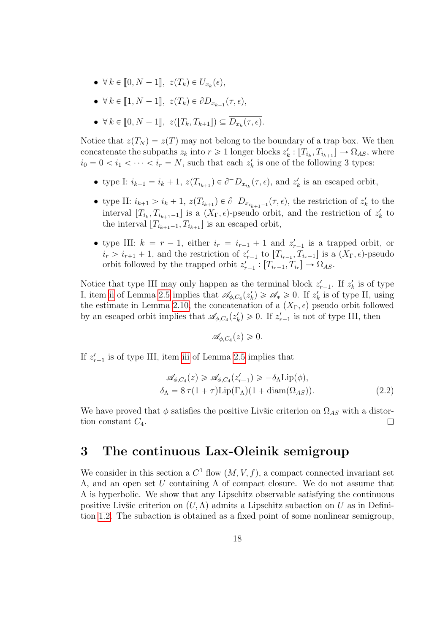- $\forall k \in [0, N-1], z(T_k) \in U_{x_k}(\epsilon),$
- $\forall k \in [1, N-1], z(T_k) \in \partial D_{x_{k-1}}(\tau, \epsilon),$
- $\forall k \in [0, N-1], z([T_k, T_{k+1}]) \subseteq D_{x_k}(\tau, \epsilon).$

Notice that  $z(T_N) = z(T)$  may not belong to the boundary of a trap box. We then concatenate the subpaths  $z_k$  into  $r \geq 1$  longer blocks  $z'_k : [T_{i_k}, T_{i_{k+1}}] \to \Omega_{AS}$ , where  $i_0 = 0 < i_1 < \cdots < i_r = N$ , such that each  $z'_k$  is one of the following 3 types:

- type I:  $i_{k+1} = i_k + 1$ ,  $z(T_{i_{k+1}}) \in \partial^- D_{x_{i_k}}(\tau, \epsilon)$ , and  $z'_k$  is an escaped orbit,
- type II:  $i_{k+1} > i_k + 1$ ,  $z(T_{i_{k+1}}) \in \partial^- D_{x_{i_{k+1}-1}}(\tau, \epsilon)$ , the restriction of  $z'_k$  to the interval  $[T_{i_k}, T_{i_{k+1}-1}]$  is a  $(X_{\Gamma}, \epsilon)$ -pseudo orbit, and the restriction of  $z'_k$  to the interval  $[T_{i_{k+1}-1}, T_{i_{k+1}}]$  is an escaped orbit,
- type III:  $k = r 1$ , either  $i_r = i_{r-1} + 1$  and  $z'_{r-1}$  is a trapped orbit, or  $i_r > i_{r+1} + 1$ , and the restriction of  $z'_{r-1}$  to  $[T_{i_{r-1}}, T_{i_{r-1}}]$  is a  $(X_{\Gamma}, \epsilon)$ -pseudo orbit followed by the trapped orbit  $z'_{r-1} : [T_{i_r-1}, T_{i_r}] \to \Omega_{AS}$ .

Notice that type III may only happen as the terminal block  $z'_{r-1}$ . If  $z'_{k}$  is of type I, item [ii](#page-8-1) of Lemma [2.5](#page-7-2) implies that  $\mathscr{A}_{\phi, C_4}(z'_k) \geq \mathscr{A}_* \geq 0$ . If  $z'_k$  is of type II, using the estimate in Lemma [2.10,](#page-16-1) the concatenation of a  $(X_{\Gamma}, \epsilon)$  pseudo orbit followed by an escaped orbit implies that  $\mathscr{A}_{\phi, C_4}(z'_k) \geq 0$ . If  $z'_{r-1}$  is not of type III, then

$$
\mathscr{A}_{\phi, C_4}(z) \geqslant 0.
$$

If  $z'_{r-1}$  is of type III, item [iii](#page-8-0) of Lemma [2.5](#page-7-2) implies that

$$
\mathcal{A}_{\phi,C_4}(z) \geq \mathcal{A}_{\phi,C_4}(z'_{r-1}) \geq -\delta_{\Lambda} \text{Lip}(\phi),
$$
  
\n
$$
\delta_{\Lambda} = 8 \tau (1 + \tau) \text{Lip}(\Gamma_{\Lambda})(1 + \text{diam}(\Omega_{AS})).
$$
\n(2.2)

We have proved that  $\phi$  satisfies the positive Livšic criterion on  $\Omega_{AS}$  with a distortion constant  $C_4$ .  $\Box$ 

### <span id="page-17-0"></span>3 The continuous Lax-Oleinik semigroup

We consider in this section a  $C^1$  flow  $(M, V, f)$ , a compact connected invariant set  $Λ$ , and an open set U containing  $Λ$  of compact closure. We do not assume that  $\Lambda$  is hyperbolic. We show that any Lipschitz observable satisfying the continuous positive Livšic criterion on  $(U, \Lambda)$  admits a Lipschitz subaction on U as in Definition [1.2.](#page-1-2) The subaction is obtained as a fixed point of some nonlinear semigroup,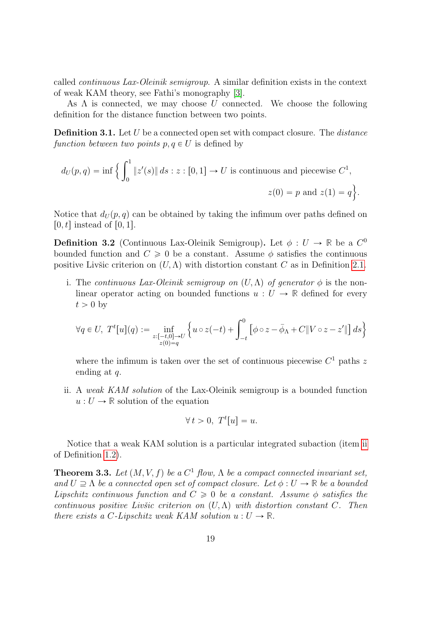called continuous Lax-Oleinik semigroup. A similar definition exists in the context of weak KAM theory, see Fathi's monography [\[3\]](#page-29-2).

As  $\Lambda$  is connected, we may choose U connected. We choose the following definition for the distance function between two points.

**Definition 3.1.** Let U be a connected open set with compact closure. The *distance* function between two points  $p, q \in U$  is defined by

$$
d_U(p,q) = \inf \Big\{ \int_0^1 \|z'(s)\| \, ds : z : [0,1] \to U \text{ is continuous and piecewise } C^1,
$$
  

$$
z(0) = p \text{ and } z(1) = q \Big\}.
$$

Notice that  $d_U(p,q)$  can be obtained by taking the infimum over paths defined on  $[0, t]$  instead of  $[0, 1]$ .

<span id="page-18-1"></span>**Definition 3.2** (Continuous Lax-Oleinik Semigroup). Let  $\phi : U \to \mathbb{R}$  be a  $C^0$ bounded function and  $C \geq 0$  be a constant. Assume  $\phi$  satisfies the continuous positive Livšic criterion on  $(U, \Lambda)$  with distortion constant C as in Definition [2.1.](#page-4-1)

i. The continuous Lax-Oleinik semigroup on  $(U, \Lambda)$  of generator  $\phi$  is the nonlinear operator acting on bounded functions  $u: U \to \mathbb{R}$  defined for every  $t > 0$  by

$$
\forall q \in U, \ T^t[u](q) := \inf_{\substack{z: [-t,0] \to U \\ z(0) = q}} \left\{ u \circ z(-t) + \int_{-t}^0 \left[ \phi \circ z - \bar{\phi}_\Lambda + C \| V \circ z - z' \| \right] ds \right\}
$$

where the infimum is taken over the set of continuous piecewise  $C<sup>1</sup>$  paths z ending at q.

ii. A weak KAM solution of the Lax-Oleinik semigroup is a bounded function  $u: U \to \mathbb{R}$  solution of the equation

$$
\forall t > 0, \ T^t[u] = u.
$$

Notice that a weak KAM solution is a particular integrated subaction (item [ii](#page-2-0) of Definition [1.2\)](#page-1-2).

<span id="page-18-0"></span>**Theorem 3.3.** Let  $(M, V, f)$  be a  $C^1$  flow,  $\Lambda$  be a compact connected invariant set, and  $U \supseteq \Lambda$  be a connected open set of compact closure. Let  $\phi : U \to \mathbb{R}$  be a bounded Lipschitz continuous function and  $C \geq 0$  be a constant. Assume  $\phi$  satisfies the continuous positive Livšic criterion on  $(U, \Lambda)$  with distortion constant C. Then there exists a C-Lipschitz weak KAM solution  $u: U \to \mathbb{R}$ .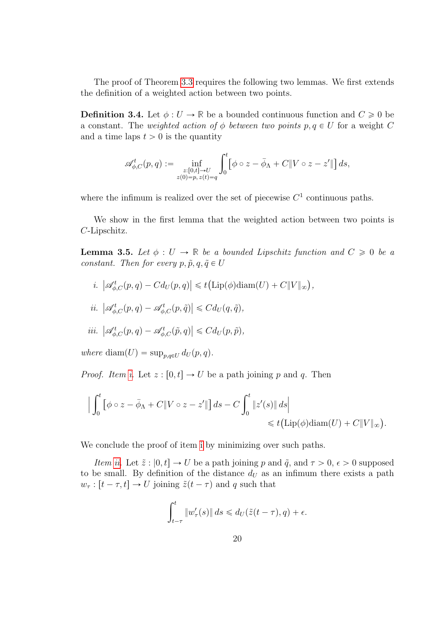The proof of Theorem [3.3](#page-18-0) requires the following two lemmas. We first extends the definition of a weighted action between two points.

**Definition 3.4.** Let  $\phi: U \to \mathbb{R}$  be a bounded continuous function and  $C \geq 0$  be a constant. The weighted action of  $\phi$  between two points  $p, q \in U$  for a weight C and a time laps  $t > 0$  is the quantity

$$
\mathscr {A}_{\phi,C}^t(p,q):=\inf_{\substack{z:[0,t]\to U\\ z(0)=p,\,z(t)=q}}\int_0^t\bigl[\phi\circ z-\bar\phi_\Lambda+C\|V\circ z-z'\|\bigr]\,ds,
$$

where the infimum is realized over the set of piecewise  $C<sup>1</sup>$  continuous paths.

We show in the first lemma that the weighted action between two points is C-Lipschitz.

**Lemma 3.5.** Let  $\phi: U \to \mathbb{R}$  be a bounded Lipschitz function and  $C \geq 0$  be a constant. Then for every  $p, \tilde{p}, q, \tilde{q} \in U$ 

<span id="page-19-0"></span>i. 
$$
|\mathscr{A}_{\phi,C}^t(p,q) - Cd_U(p,q)| \leq t(\mathrm{Lip}(\phi)\mathrm{diam}(U) + C||V||_{\infty}),
$$

<span id="page-19-1"></span>
$$
ii. \ \left| \mathscr{A}_{\phi,C}^t(p,q) - \mathscr{A}_{\phi,C}^t(p,\tilde{q}) \right| \leqslant C d_U(q,\tilde{q}),
$$

<span id="page-19-2"></span>
$$
iii. \ \left| \mathscr{A}_{\phi,C}^t(p,q) - \mathscr{A}_{\phi,C}^t(\tilde{p},q) \right| \leqslant C d_U(p,\tilde{p}),
$$

where  $\text{diam}(U) = \sup_{p,q \in U} d_U(p,q)$ .

*Proof. Item [i.](#page-19-0)* Let  $z : [0, t] \to U$  be a path joining p and q. Then

$$
\Big| \int_0^t \left[ \phi \circ z - \bar{\phi}_{\Lambda} + C \| V \circ z - z' \| \right] ds - C \int_0^t \| z'(s) \| ds \Big|
$$
  
\$\leqslant t \big( \text{Lip}(\phi) \text{diam}(U) + C \| V \|\_{\infty} \big)\$.

We conclude the proof of [i](#page-19-0)tem i by minimizing over such paths.

Item [ii.](#page-19-1) Let  $\tilde{z}$  :  $[0, t] \to U$  be a path joining p and  $\tilde{q}$ , and  $\tau > 0$ ,  $\epsilon > 0$  supposed to be small. By definition of the distance  $d<sub>U</sub>$  as an infimum there exists a path  $w_{\tau} : [t - \tau, t] \to U$  joining  $\tilde{z}(t - \tau)$  and q such that

$$
\int_{t-\tau}^{t} \|w_{\tau}'(s)\| ds \leq d_U(\tilde{z}(t-\tau), q) + \epsilon.
$$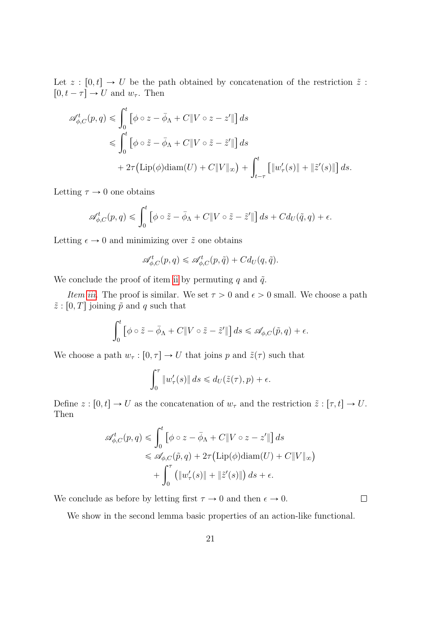Let  $z : [0, t] \to U$  be the path obtained by concatenation of the restriction  $\tilde{z}$ :  $[0, t - \tau] \rightarrow U$  and  $w_{\tau}$ . Then

$$
\mathscr{A}_{\phi,C}^{t}(p,q) \leq \int_{0}^{t} \left[ \phi \circ z - \bar{\phi}_{\Lambda} + C \| V \circ z - z' \| \right] ds
$$
  

$$
\leq \int_{0}^{t} \left[ \phi \circ \tilde{z} - \bar{\phi}_{\Lambda} + C \| V \circ \tilde{z} - \tilde{z}' \| \right] ds
$$
  

$$
+ 2\tau \left( \text{Lip}(\phi) \text{diam}(U) + C \| V \|_{\infty} \right) + \int_{t-\tau}^{t} \left[ \| w_{\tau}'(s) \| + \| \tilde{z}'(s) \| \right] ds.
$$

Letting  $\tau \to 0$  one obtains

$$
\mathscr{A}_{\phi,C}^t(p,q) \leq \int_0^t \left[\phi \circ \tilde{z} - \bar{\phi}_{\Lambda} + C \|V \circ \tilde{z} - \tilde{z}'\|\right] ds + Cd_U(\tilde{q},q) + \epsilon.
$$

Letting  $\epsilon \to 0$  and minimizing over  $\tilde{z}$  one obtains

$$
\mathscr{A}^t_{\phi,C}(p,q) \leqslant \mathscr{A}^t_{\phi,C}(p,\tilde{q}) + Cd_U(q,\tilde{q}).
$$

We conclude the proof of item [ii](#page-19-1) by permuting q and  $\tilde{q}$ .

*Item [iii.](#page-19-2)* The proof is similar. We set  $\tau > 0$  and  $\epsilon > 0$  small. We choose a path  $\tilde{z}$ : [0, T] joining  $\tilde{p}$  and q such that

$$
\int_0^t \left[ \phi \circ \tilde{z} - \bar{\phi}_{\Lambda} + C \| V \circ \tilde{z} - \tilde{z}' \| \right] ds \leq \mathscr{A}_{\phi, C}(\tilde{p}, q) + \epsilon.
$$

We choose a path  $w_{\tau} : [0, \tau] \to U$  that joins p and  $\tilde{z}(\tau)$  such that

$$
\int_0^\tau \|w_\tau'(s)\| \, ds \leq d_U(\tilde{z}(\tau), p) + \epsilon.
$$

Define  $z : [0, t] \to U$  as the concatenation of  $w_{\tau}$  and the restriction  $\tilde{z} : [\tau, t] \to U$ . Then

$$
\mathscr{A}_{\phi,C}^{t}(p,q) \leq \int_{0}^{t} \left[ \phi \circ z - \bar{\phi}_{\Lambda} + C \| V \circ z - z' \| \right] ds
$$
  

$$
\leq \mathscr{A}_{\phi,C}(\tilde{p},q) + 2\tau (\text{Lip}(\phi) \text{diam}(U) + C \| V \|_{\infty})
$$
  

$$
+ \int_{0}^{\tau} \left( \| w_{\tau}'(s) \| + \| \tilde{z}'(s) \| \right) ds + \epsilon.
$$

We conclude as before by letting first  $\tau \to 0$  and then  $\epsilon \to 0$ .

 $\Box$ 

We show in the second lemma basic properties of an action-like functional.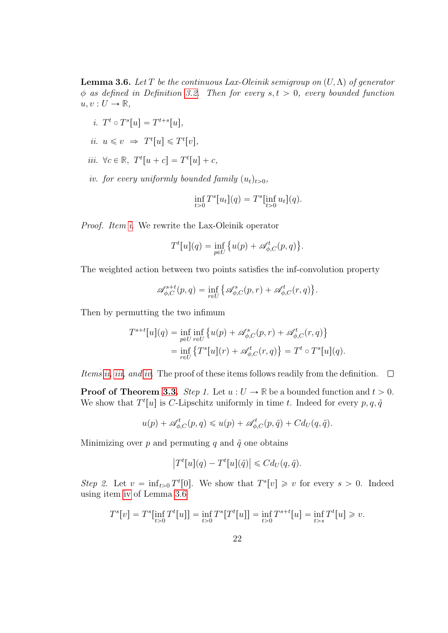<span id="page-21-4"></span>**Lemma 3.6.** Let T be the continuous Lax-Oleinik semigroup on  $(U, \Lambda)$  of generator  $\phi$  as defined in Definition [3.2.](#page-18-1) Then for every  $s, t > 0$ , every bounded function  $u, v: U \to \mathbb{R},$ 

- <span id="page-21-0"></span>i.  $T^t \circ T^s[u] = T^{t+s}[u],$
- <span id="page-21-1"></span>ii.  $u \leq v \Rightarrow T^t[u] \leq T^t[v],$
- <span id="page-21-2"></span>*iii.*  $\forall c \in \mathbb{R}, T^t[u + c] = T^t[u] + c$ ,
- <span id="page-21-3"></span>iv. for every uniformly bounded family  $(u_t)_{t>0}$ ,

$$
\inf_{t>0} T^{s}[u_{t}](q) = T^{s}[\inf_{t>0} u_{t}](q).
$$

Proof. Item [i.](#page-21-0) We rewrite the Lax-Oleinik operator

$$
T^{t}[u](q) = \inf_{p \in U} \left\{ u(p) + \mathscr{A}_{\phi,C}^{t}(p,q) \right\}.
$$

The weighted action between two points satisfies the inf-convolution property

$$
\mathscr{A}^{s+t}_{\phi,C}(p,q)=\inf_{r\in U}\big\{\mathscr{A}^s_{\phi,C}(p,r)+\mathscr{A}^t_{\phi,C}(r,q)\big\}.
$$

Then by permutting the two infimum

$$
T^{s+t}[u](q) = \inf_{p \in U} \inf_{r \in U} \{ u(p) + \mathscr{A}_{\phi,C}^s(p,r) + \mathscr{A}_{\phi,C}^t(r,q) \} = \inf_{r \in U} \{ T^s[u](r) + \mathscr{A}_{\phi,C}^t(r,q) \} = T^t \circ T^s[u](q).
$$

Items [ii,](#page-21-1) [iii,](#page-21-2) and [iv.](#page-21-3) The proof of these items follows readily from the definition.  $\Box$ 

**Proof of Theorem [3.3.](#page-18-0)** Step 1. Let  $u: U \to \mathbb{R}$  be a bounded function and  $t > 0$ . We show that  $T^t[u]$  is C-Lipschitz uniformly in time t. Indeed for every  $p, q, \tilde{q}$ 

$$
u(p) + \mathscr{A}_{\phi,C}^t(p,q) \leq u(p) + \mathscr{A}_{\phi,C}^t(p,\tilde{q}) + Cd_U(q,\tilde{q}).
$$

Minimizing over p and permuting q and  $\tilde{q}$  one obtains

$$
\left|T^t[u](q) - T^t[u](\tilde{q})\right| \leqslant C d_U(q, \tilde{q}).
$$

Step 2. Let  $v = \inf_{t>0} T^t[0]$ . We show that  $T^s[v] \geq v$  for every  $s > 0$ . Indeed using item [iv](#page-21-3) of Lemma [3.6](#page-21-4)

$$
T^{s}[v] = T^{s}[\inf_{t>0} T^{t}[u]] = \inf_{t>0} T^{s}[T^{t}[u]] = \inf_{t>0} T^{s+t}[u] = \inf_{t>s} T^{t}[u] \geq v.
$$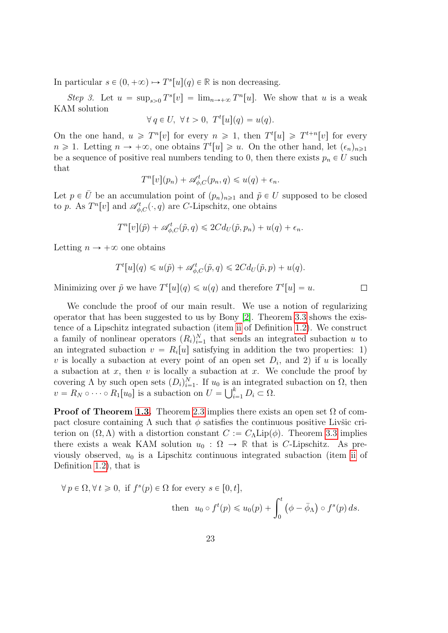In particular  $s \in (0, +\infty) \mapsto T^s[u](q) \in \mathbb{R}$  is non decreasing.

Step 3. Let  $u = \sup_{s>0} T^s[v] = \lim_{n \to +\infty} T^n[u]$ . We show that u is a weak KAM solution

$$
\forall q \in U, \ \forall t > 0, \ T^t[u](q) = u(q).
$$

On the one hand,  $u \geq T^n[v]$  for every  $n \geq 1$ , then  $T^t[u] \geq T^{t+n}[v]$  for every  $n \geq 1$ . Letting  $n \to +\infty$ , one obtains  $T^t[u] \geq u$ . On the other hand, let  $(\epsilon_n)_{n\geq 1}$ be a sequence of positive real numbers tending to 0, then there exists  $p_n \in U$  such that

$$
T^{n}[v](p_{n}) + \mathscr{A}_{\phi,C}^{t}(p_{n},q) \leq u(q) + \epsilon_{n}.
$$

Let  $p \in \overline{U}$  be an accumulation point of  $(p_n)_{n\geq 1}$  and  $\tilde{p} \in U$  supposed to be closed to p. As  $T^{n}[v]$  and  $\mathscr{A}_{\phi,C}^{t}(\cdot,q)$  are C-Lipschitz, one obtains

$$
T^{n}[v](\tilde{p}) + \mathscr{A}_{\phi,C}^{t}(\tilde{p},q) \leq 2C d_{U}(\tilde{p},p_{n}) + u(q) + \epsilon_{n}.
$$

Letting  $n \to +\infty$  one obtains

$$
T^{t}[u](q) \leq u(\tilde{p}) + \mathscr{A}_{\phi,C}^{t}(\tilde{p},q) \leq 2C d_{U}(\tilde{p},p) + u(q).
$$

Minimizing over  $\tilde{p}$  we have  $T^t[u](q) \leq u(q)$  and therefore  $T^t[u] = u$ .

We conclude the proof of our main result. We use a notion of regularizing operator that has been suggested to us by Bony [\[2\]](#page-29-3). Theorem [3.3](#page-18-0) shows the existence of a Lipschitz integrated subaction (item [ii](#page-2-0) of Definition [1.2\)](#page-1-2). We construct a family of nonlinear operators  $(R_i)_{i=1}^N$  that sends an integrated subaction u to an integrated subaction  $v = R_i[u]$  satisfying in addition the two properties: 1) v is locally a subaction at every point of an open set  $D_i$ , and 2) if u is locally a subaction at  $x$ , then  $v$  is locally a subaction at  $x$ . We conclude the proof by covering  $\Lambda$  by such open sets  $(D_i)_{i=1}^N$ . If  $u_0$  is an integrated subaction on  $\Omega$ , then  $v = R_N \circ \cdots \circ R_1[u_0]$  is a subaction on  $U = \bigcup_{i=1}^k D_i \subset \Omega$ .

**Proof of Theorem [1.3.](#page-2-1)** Theorem [2.3](#page-5-0) implies there exists an open set  $\Omega$  of compact closure containing  $\Lambda$  such that  $\phi$  satisfies the continuous positive Livšic criterion on  $(\Omega, \Lambda)$  with a distortion constant  $C := C_{\Lambda}$ Lip $(\phi)$ . Theorem [3.3](#page-18-0) implies there exists a weak KAM solution  $u_0 : \Omega \to \mathbb{R}$  that is C-Lipschitz. As previously observed,  $u_0$  is a Lipschitz continuous integrated subaction (item [ii](#page-2-0) of Definition [1.2\)](#page-1-2), that is

$$
\forall p \in \Omega, \forall t \geq 0, \text{ if } f^s(p) \in \Omega \text{ for every } s \in [0, t],
$$
  
then  $u_0 \circ f^t(p) \leq u_0(p) + \int_0^t (\phi - \bar{\phi}_\Lambda) \circ f^s(p) ds.$ 

 $\Box$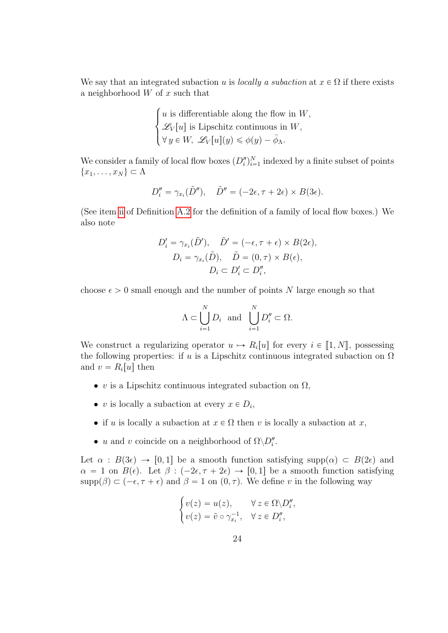We say that an integrated subaction u is locally a subaction at  $x \in \Omega$  if there exists a neighborhood  $W$  of  $x$  such that

$$
\begin{cases} u \text{ is differentiable along the flow in } W, \\ \mathcal{L}_V[u] \text{ is Lipschitz continuous in } W, \\ \forall y \in W, \ \mathcal{L}_V[u](y) \leq \phi(y) - \overline{\phi}_{\Lambda}. \end{cases}
$$

We consider a family of local flow boxes  $(D_i^{\prime\prime})_{i=1}^N$  indexed by a finite subset of points  ${x_1, \ldots, x_N} \subset \Lambda$ 

$$
D_i'' = \gamma_{x_i}(\tilde{D}''), \quad \tilde{D}'' = (-2\epsilon, \tau + 2\epsilon) \times B(3\epsilon).
$$

(See item [ii](#page-27-1) of Definition [A.2](#page-27-0) for the definition of a family of local flow boxes.) We also note

$$
D'_{i} = \gamma_{x_{i}}(\tilde{D}'), \quad \tilde{D}' = (-\epsilon, \tau + \epsilon) \times B(2\epsilon),
$$
  
\n
$$
D_{i} = \gamma_{x_{i}}(\tilde{D}), \quad \tilde{D} = (0, \tau) \times B(\epsilon),
$$
  
\n
$$
D_{i} \subset D'_{i} \subset D''_{i},
$$

choose  $\epsilon > 0$  small enough and the number of points N large enough so that

$$
\Lambda \subset \bigcup_{i=1}^N D_i \text{ and } \bigcup_{i=1}^N D''_i \subset \Omega.
$$

We construct a regularizing operator  $u \mapsto R_i[u]$  for every  $i \in [1, N]$ , possessing the following properties: if u is a Lipschitz continuous integrated subaction on  $\Omega$ and  $v = R_i[u]$  then

- v is a Lipschitz continuous integrated subaction on  $\Omega$ ,
- v is locally a subaction at every  $x \in D_i$ ,
- if u is locally a subaction at  $x \in \Omega$  then v is locally a subaction at x,
- u and v coincide on a neighborhood of  $\Omega \backslash D_i''$ .

#

Let  $\alpha : B(3\epsilon) \to [0, 1]$  be a smooth function satisfying supp $(\alpha) \subset B(2\epsilon)$  and  $\alpha = 1$  on  $B(\epsilon)$ . Let  $\beta : (-2\epsilon, \tau + 2\epsilon) \rightarrow [0, 1]$  be a smooth function satisfying  $\text{supp}(\beta) \subset (-\epsilon, \tau + \epsilon)$  and  $\beta = 1$  on  $(0, \tau)$ . We define v in the following way

$$
\begin{cases}\nv(z) = u(z), & \forall z \in \Omega \backslash D_i'', \\
v(z) = \tilde{v} \circ \gamma_{xi}^{-1}, & \forall z \in D_i'',\n\end{cases}
$$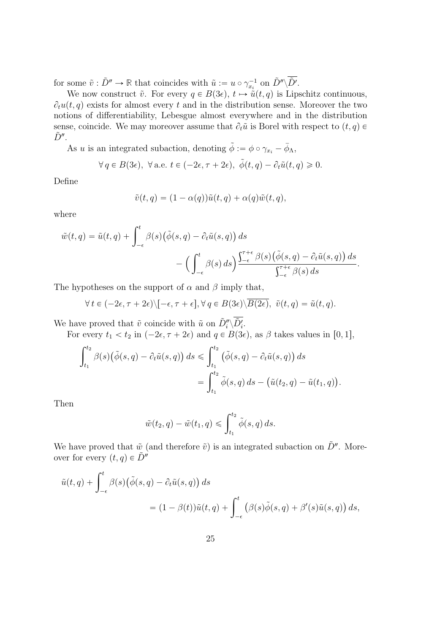for some  $\tilde{v} : \tilde{D}'' \to \mathbb{R}$  that coincides with  $\tilde{u} := u \circ \gamma_{x_i}^{-1}$  on  $\tilde{D}'' \setminus \tilde{D}'$ .

We now construct  $\tilde{v}$ . For every  $q \in B(3\epsilon)$ ,  $t \mapsto \tilde{u}(t, q)$  is Lipschitz continuous,  $\partial_t u(t, q)$  exists for almost every t and in the distribution sense. Moreover the two notions of differentiability, Lebesgue almost everywhere and in the distribution sense, coincide. We may moreover assume that  $\partial_t \tilde{u}$  is Borel with respect to  $(t, q)$  $\tilde{D}''$ .

As u is an integrated subaction, denoting  $\tilde{\phi} := \phi \circ \gamma_{x_i} - \bar{\phi}_{\Lambda},$ 

$$
\forall q \in B(3\epsilon), \ \forall \,\text{a.e. } t \in (-2\epsilon, \tau + 2\epsilon), \ \tilde{\phi}(t,q) - \partial_t \tilde{u}(t,q) \geq 0.
$$

Define

$$
\tilde{v}(t,q) = (1 - \alpha(q))\tilde{u}(t,q) + \alpha(q)\tilde{w}(t,q),
$$

where

$$
\tilde{w}(t,q) = \tilde{u}(t,q) + \int_{-\epsilon}^{t} \beta(s) (\tilde{\phi}(s,q) - \partial_t \tilde{u}(s,q)) ds - \left( \int_{-\epsilon}^{t} \beta(s) ds \right)^{\frac{\tau}{1-\epsilon}} \frac{\beta(s) (\tilde{\phi}(s,q) - \partial_t \tilde{u}(s,q)) ds}{\int_{-\epsilon}^{\tau+\epsilon} \beta(s) ds}.
$$

The hypotheses on the support of  $\alpha$  and  $\beta$  imply that,

$$
\forall t \in (-2\epsilon, \tau + 2\epsilon) \setminus [-\epsilon, \tau + \epsilon], \forall q \in B(3\epsilon) \setminus \overline{B(2\epsilon)}, \ \tilde{v}(t,q) = \tilde{u}(t,q).
$$

We have proved that  $\tilde{v}$  coincide with  $\tilde{u}$  on  $\tilde{D}''_i\backslash \tilde{D}'_i$ .

For every  $t_1 < t_2$  in  $(-2\epsilon, \tau + 2\epsilon)$  and  $q \in B(3\epsilon)$ , as  $\beta$  takes values in [0, 1],

$$
\int_{t_1}^{t_2} \beta(s) \big(\tilde{\phi}(s,q) - \partial_t \tilde{u}(s,q)\big) ds \leq \int_{t_1}^{t_2} \big(\tilde{\phi}(s,q) - \partial_t \tilde{u}(s,q)\big) ds
$$
  
= 
$$
\int_{t_1}^{t_2} \tilde{\phi}(s,q) ds - \big(\tilde{u}(t_2,q) - \tilde{u}(t_1,q)\big).
$$

Then

$$
\tilde{w}(t_2, q) - \tilde{w}(t_1, q) \leqslant \int_{t_1}^{t_2} \tilde{\phi}(s, q) \, ds.
$$

We have proved that  $\tilde{w}$  (and therefore  $\tilde{v}$ ) is an integrated subaction on  $\tilde{D}''$ . Moreover for every  $(t, q) \in \tilde{D}''$ 

$$
\tilde{u}(t,q) + \int_{-\epsilon}^{t} \beta(s) (\tilde{\phi}(s,q) - \partial_t \tilde{u}(s,q)) ds
$$
  
=  $(1 - \beta(t)) \tilde{u}(t,q) + \int_{-\epsilon}^{t} (\beta(s) \tilde{\phi}(s,q) + \beta'(s) \tilde{u}(s,q)) ds,$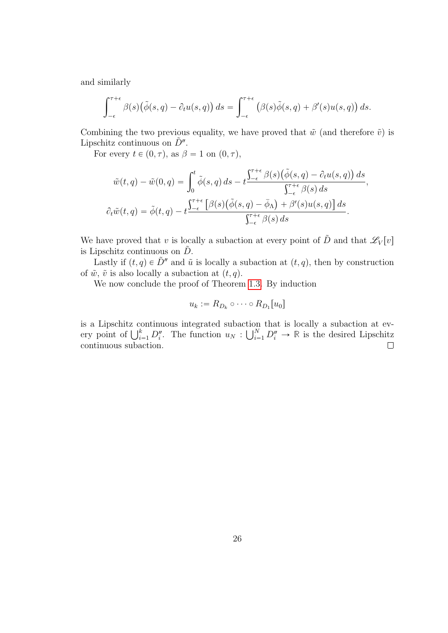and similarly

$$
\int_{-\epsilon}^{\tau+\epsilon} \beta(s) \big( \tilde{\phi}(s,q) - \partial_t u(s,q) \big) ds = \int_{-\epsilon}^{\tau+\epsilon} \big( \beta(s) \tilde{\phi}(s,q) + \beta'(s) u(s,q) \big) ds.
$$

Combining the two previous equality, we have proved that  $\tilde{w}$  (and therefore  $\tilde{v}$ ) is Lipschitz continuous on  $\tilde{D}''$ .

For every  $t \in (0, \tau)$ , as  $\beta = 1$  on  $(0, \tau)$ ,

$$
\tilde{w}(t,q) - \tilde{w}(0,q) = \int_0^t \tilde{\phi}(s,q) ds - t \frac{\int_{-\epsilon}^{\tau+\epsilon} \beta(s) (\tilde{\phi}(s,q) - \partial_t u(s,q)) ds}{\int_{-\epsilon}^{\tau+\epsilon} \beta(s) ds},
$$

$$
\partial_t \tilde{w}(t,q) = \tilde{\phi}(t,q) - t \frac{\int_{-\epsilon}^{\tau+\epsilon} [\beta(s) (\tilde{\phi}(s,q) - \bar{\phi}_\Lambda) + \beta'(s) u(s,q)] ds}{\int_{-\epsilon}^{\tau+\epsilon} \beta(s) ds}.
$$

We have proved that v is locally a subaction at every point of  $\tilde{D}$  and that  $\mathscr{L}_V[v]$ is Lipschitz continuous on  $\tilde{D}$ .

Lastly if  $(t, q) \in \tilde{D}''$  and  $\tilde{u}$  is locally a subaction at  $(t, q)$ , then by construction of  $\tilde{w}$ ,  $\tilde{v}$  is also locally a subaction at  $(t, q)$ .

We now conclude the proof of Theorem [1.3.](#page-2-1) By induction

$$
u_k := R_{D_k} \circ \cdots \circ R_{D_1}[u_0]
$$

is a Lipschitz continuous integrated subaction that is locally a subaction at evis a Lipschitz continuous integrated subaction<br>ery point of  $\bigcup_{i=1}^k D_i''$ . The function  $u_N : \bigcup_{i=1}^N D_i'$  $\sum_{i=1}^{N} D_i'' \to \mathbb{R}$  is the desired Lipschitz continuous subaction.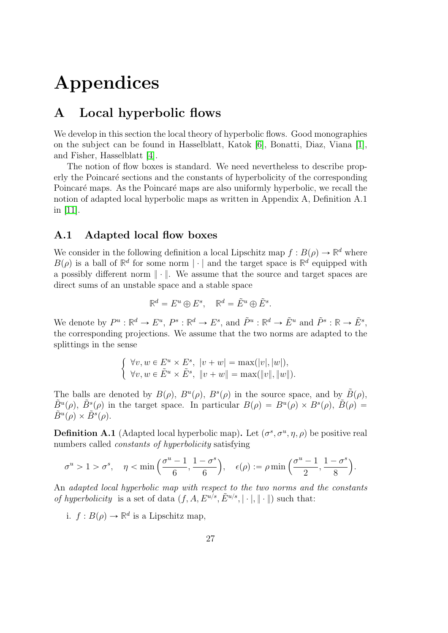# Appendices

### <span id="page-26-0"></span>A Local hyperbolic flows

We develop in this section the local theory of hyperbolic flows. Good monographies on the subject can be found in Hasselblatt, Katok [\[6\]](#page-29-4), Bonatti, Diaz, Viana [\[1\]](#page-29-5), and Fisher, Hasselblatt [\[4\]](#page-29-6).

The notion of flow boxes is standard. We need nevertheless to describe properly the Poincaré sections and the constants of hyperbolicity of the corresponding Poincaré maps. As the Poincaré maps are also uniformly hyperbolic, we recall the notion of adapted local hyperbolic maps as written in Appendix A, Definition A.1 in [\[11\]](#page-30-1).

### <span id="page-26-1"></span>A.1 Adapted local flow boxes

We consider in the following definition a local Lipschitz map  $f : B(\rho) \to \mathbb{R}^d$  where  $B(\rho)$  is a ball of  $\mathbb{R}^d$  for some norm  $|\cdot|$  and the target space is  $\mathbb{R}^d$  equipped with a possibly different norm  $\|\cdot\|$ . We assume that the source and target spaces are direct sums of an unstable space and a stable space

$$
\mathbb{R}^d=E^u\oplus E^s,\quad \mathbb{R}^d=\tilde{E}^u\oplus \tilde{E}^s.
$$

We denote by  $P^u: \mathbb{R}^d \to E^u$ ,  $P^s: \mathbb{R}^d \to E^s$ , and  $\tilde{P}^u: \mathbb{R}^d \to \tilde{E}^u$  and  $\tilde{P}^s: \mathbb{R} \to \tilde{E}^s$ , the corresponding projections. We assume that the two norms are adapted to the splittings in the sense

$$
\begin{cases} \forall v, w \in E^u \times E^s, \ |v+w| = \max(|v|, |w|), \\ \forall v, w \in \tilde{E}^u \times \tilde{E}^s, \ \|v+w\| = \max(\|v\|, \|w\|).\end{cases}
$$

The balls are denoted by  $B(\rho)$ ,  $B^u(\rho)$ ,  $B^s(\rho)$  in the source space, and by  $\tilde{B}(\rho)$ ,  $\tilde{B}^u(\rho)$ ,  $\tilde{B}^s(\rho)$  in the target space. In particular  $B(\rho) = B^u(\rho) \times B^s(\rho)$ ,  $\tilde{B}(\rho) =$  $\tilde{B}^u(\rho) \times \tilde{B}^s(\rho).$ 

<span id="page-26-2"></span>**Definition A.1** (Adapted local hyperbolic map). Let  $(\sigma^s, \sigma^u, \eta, \rho)$  be positive real numbers called constants of hyperbolicity satisfying

$$
\sigma^u > 1 > \sigma^s, \quad \eta < \min\left(\frac{\sigma^u - 1}{6}, \frac{1 - \sigma^s}{6}\right), \quad \epsilon(\rho) := \rho \min\left(\frac{\sigma^u - 1}{2}, \frac{1 - \sigma^s}{8}\right).
$$

An adapted local hyperbolic map with respect to the two norms and the constants of hyperbolicity is a set of data  $(f, A, E^{u/s}, \tilde{E}^{u/s}, |\cdot|, \| \cdot \|)$  such that:

i.  $f: B(\rho) \to \mathbb{R}^d$  is a Lipschitz map,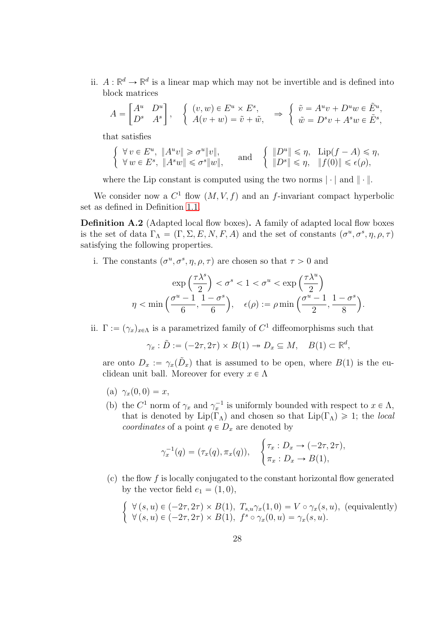ii.  $A: \mathbb{R}^d \to \mathbb{R}^d$  is a linear map which may not be invertible and is defined into block matrices "<br>- $\overline{a}$ " "

$$
A = \begin{bmatrix} A^u & D^u \\ D^s & A^s \end{bmatrix}, \quad \begin{cases} (v, w) \in E^u \times E^s, \\ A(v + w) = \tilde{v} + \tilde{w}, \end{cases} \Rightarrow \begin{cases} \tilde{v} = A^u v + D^u w \in \tilde{E}^u, \\ \tilde{w} = D^s v + A^s w \in \tilde{E}^s, \end{cases}
$$

that satisfies

$$
\left\{\n\begin{array}{ll}\n\forall v \in E^u, \|A^u v\| \geq \sigma^u \|v\|, \\
\forall w \in E^s, \|A^s w\| \leq \sigma^s \|w\|, \\
\end{array}\n\right.\n\quad \text{and} \quad\n\left\{\n\begin{array}{ll}\n\|D^u\| \leq \eta, \quad \text{Lip}(f - A) \leq \eta, \\
\|D^s\| \leq \eta, \quad \|f(0)\| \leq \epsilon(\rho),\n\end{array}\n\right.
$$

where the Lip constant is computed using the two norms  $|\cdot|$  and  $\|\cdot\|$ .

We consider now a  $C^1$  flow  $(M, V, f)$  and an f-invariant compact hyperbolic set as defined in Definition [1.1.](#page-1-1)

<span id="page-27-0"></span>Definition A.2 (Adapted local flow boxes). A family of adapted local flow boxes is the set of data  $\Gamma_{\Lambda} = (\Gamma, \Sigma, E, N, F, A)$  and the set of constants  $(\sigma^u, \sigma^s, \eta, \rho, \tau)$ satisfying the following properties.

i. The constants  $(\sigma^u, \sigma^s, \eta, \rho, \tau)$  are chosen so that  $\tau > 0$  and

$$
\exp\left(\frac{\tau\lambda^s}{2}\right) < \sigma^s < 1 < \sigma^u < \exp\left(\frac{\tau\lambda^u}{2}\right) \\
\eta < \min\left(\frac{\sigma^u - 1}{6}, \frac{1 - \sigma^s}{6}\right), \quad \epsilon(\rho) := \rho \min\left(\frac{\sigma^u - 1}{2}, \frac{1 - \sigma^s}{8}\right).
$$

<span id="page-27-1"></span>ii.  $\Gamma := (\gamma_x)_{x \in \Lambda}$  is a parametrized family of  $C^1$  diffeomorphisms such that

$$
\gamma_x : \tilde{D} := (-2\tau, 2\tau) \times B(1) \to D_x \subseteq M, \quad B(1) \subset \mathbb{R}^d,
$$

are onto  $D_x := \gamma_x(\tilde{D}_x)$  that is assumed to be open, where  $B(1)$  is the euclidean unit ball. Moreover for every  $x \in \Lambda$ 

- (a)  $\gamma_x(0, 0) = x$ ,
- (b) the  $C^1$  norm of  $\gamma_x$  and  $\gamma_x^{-1}$  is uniformly bounded with respect to  $x \in \Lambda$ , that is denoted by  $\text{Lip}(\Gamma_\Lambda)$  and chosen so that  $\text{Lip}(\Gamma_\Lambda) \geq 1$ ; the local coordinates of a point  $q \in D_x$  are denoted by #

$$
\gamma_x^{-1}(q) = (\tau_x(q), \pi_x(q)), \quad \begin{cases} \tau_x : D_x \to (-2\tau, 2\tau), \\ \pi_x : D_x \to B(1), \end{cases}
$$

 $(c)$  the flow f is locally conjugated to the constant horizontal flow generated by the vector field  $e_1 = (1, 0),$ "

$$
\begin{cases} \forall (s, u) \in (-2\tau, 2\tau) \times B(1), T_{s,u}\gamma_x(1, 0) = V \circ \gamma_x(s, u), \text{ (equivalently)}\\ \forall (s, u) \in (-2\tau, 2\tau) \times B(1), f^s \circ \gamma_x(0, u) = \gamma_x(s, u). \end{cases}
$$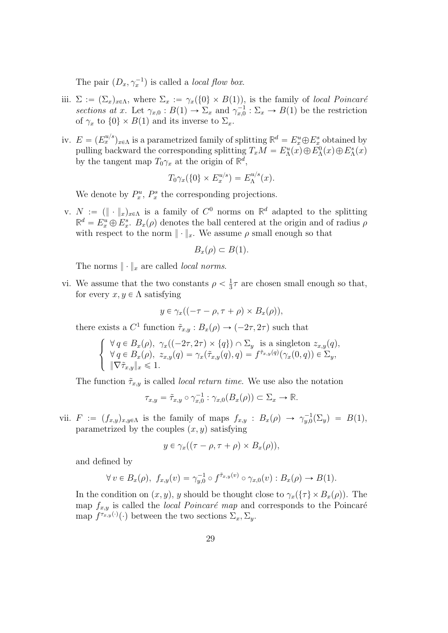The pair  $(D_x, \gamma_x^{-1})$  is called a *local flow box.* 

- iii.  $\Sigma := (\Sigma_x)_{x \in \Lambda}$ , where  $\Sigma_x := \gamma_x(\{0\} \times B(1))$ , is the family of local Poincaré sections at x. Let  $\gamma_{x,0}: B(1) \to \Sigma_x$  and  $\gamma_{x,0}^{-1}: \Sigma_x \to B(1)$  be the restriction of  $\gamma_x$  to  $\{0\} \times B(1)$  and its inverse to  $\Sigma_x$ .
- iv.  $E = (E_x^{u/s})_{x \in \Lambda}$  is a parametrized family of splitting  $\mathbb{R}^d = E_x^u \oplus E_x^s$  obtained by pulling backward the corresponding splitting  $T_xM = E^u_\Lambda(x) \oplus E^0_\Lambda(x) \oplus E^s_\Lambda(x)$ by the tangent map  $T_0 \gamma_x$  at the origin of  $\mathbb{R}^d$ ,

$$
T_0\gamma_x(\{0\}\times E_x^{u/s})=E_\Lambda^{u/s}(x).
$$

We denote by  $P_x^u$ ,  $P_x^s$  the corresponding projections.

v.  $N := (\|\cdot\|_x)_{x \in \Lambda}$  is a family of  $C^0$  norms on  $\mathbb{R}^d$  adapted to the splitting  $\mathbb{R}^d = E_x^u \oplus E_x^s$ .  $B_x(\rho)$  denotes the ball centered at the origin and of radius  $\rho$ with respect to the norm  $\|\cdot\|_x$ . We assume  $\rho$  small enough so that

$$
B_x(\rho) \subset B(1).
$$

The norms  $\|\cdot\|_x$  are called *local norms*.

<span id="page-28-0"></span>vi. We assume that the two constants  $\rho < \frac{1}{3}$  $\frac{1}{3}\tau$  are chosen small enough so that, for every  $x, y \in \Lambda$  satisfying

$$
y \in \gamma_x((-\tau - \rho, \tau + \rho) \times B_x(\rho)),
$$

there exists a  $C^1$  function  $\tilde{\tau}_{x,y}: B_x(\rho) \to (-2\tau, 2\tau)$  such that

$$
\begin{cases}\n\forall q \in B_x(\rho), \ \gamma_x((-2\tau, 2\tau) \times \{q\}) \cap \Sigma_y \text{ is a singleton } z_{x,y}(q), \\
\forall q \in B_x(\rho), \ z_{x,y}(q) = \gamma_x(\tilde{\tau}_{x,y}(q), q) = f^{\tilde{\tau}_{x,y}(q)}(\gamma_x(0, q)) \in \Sigma_y, \\
\|\nabla \tilde{\tau}_{x,y}\|_x \leq 1.\n\end{cases}
$$

The function  $\tilde{\tau}_{x,y}$  is called *local return time*. We use also the notation

$$
\tau_{x,y} = \tilde{\tau}_{x,y} \circ \gamma_{x,0}^{-1} : \gamma_{x,0}(B_x(\rho)) \subset \Sigma_x \to \mathbb{R}.
$$

<span id="page-28-1"></span>vii.  $F := (f_{x,y})_{x,y \in \Lambda}$  is the family of maps  $f_{x,y} : B_x(\rho) \to \gamma_{y,0}^{-1}(\Sigma_y) = B(1)$ , parametrized by the couples  $(x, y)$  satisfying

$$
y \in \gamma_x((\tau - \rho, \tau + \rho) \times B_x(\rho)),
$$

and defined by

$$
\forall v \in B_x(\rho), \ f_{x,y}(v) = \gamma_{y,0}^{-1} \circ f^{\tilde{\tau}_{x,y}(v)} \circ \gamma_{x,0}(v) : B_x(\rho) \to B(1).
$$

In the condition on  $(x, y)$ , y should be thought close to  $\gamma_x(\{\tau\} \times B_x(\rho))$ . The map  $f_{x,y}$  is called the *local Poincaré map* and corresponds to the Poincaré map  $f^{\tau_{x,y}(\cdot)}(\cdot)$  between the two sections  $\Sigma_x, \Sigma_y$ .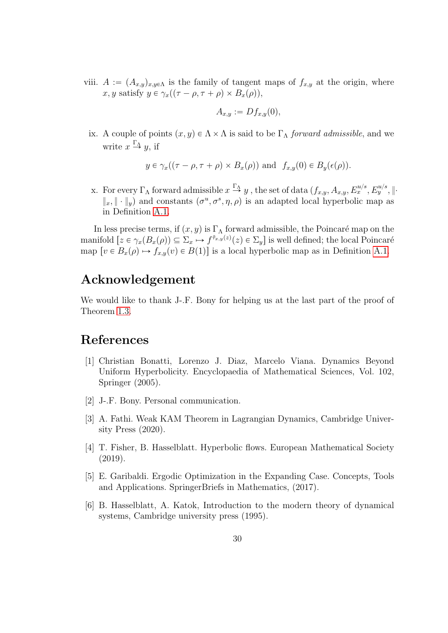viii.  $A := (A_{x,y})_{x,y\in\Lambda}$  is the family of tangent maps of  $f_{x,y}$  at the origin, where x, y satisfy  $y \in \gamma_x((\tau - \rho, \tau + \rho) \times B_x(\rho)),$ 

$$
A_{x,y} := Df_{x,y}(0),
$$

<span id="page-29-1"></span>ix. A couple of points  $(x, y) \in \Lambda \times \Lambda$  is said to be  $\Gamma_{\Lambda}$  forward admissible, and we write  $x \stackrel{\Gamma_{\Lambda}}{\rightarrow} y$ , if

$$
y \in \gamma_x((\tau - \rho, \tau + \rho) \times B_x(\rho))
$$
 and  $f_{x,y}(0) \in B_y(\epsilon(\rho)).$ 

x. For every  $\Gamma_{\Lambda}$  forward admissible  $x \stackrel{\Gamma_{\Lambda}}{\to} y$ , the set of data  $(f_{x,y}, A_{x,y}, E_x^{u/s}, E_y^{u/s}, \|\cdot\|$  $\|x\| \cdot \|y\|$  and constants  $(\sigma^u, \sigma^s, \eta, \rho)$  is an adapted local hyperbolic map as in Definition [A.1.](#page-26-2)

In less precise terms, if  $(x, y)$  is  $\Gamma_{\Lambda}$  forward admissible, the Poincaré map on the manifold  $[z \in \gamma_x(B_x(\rho)) \subseteq \Sigma_x \mapsto f^{\tilde{\tau}_{x,y}(z)}(z) \in \Sigma_y]$  is well defined; the local Poincaré map  $[v \in B_x(\rho) \mapsto f_{x,y}(v) \in B(1)]$  is a local hyperbolic map as in Definition [A.1.](#page-26-2)

## Acknowledgement

We would like to thank J-.F. Bony for helping us at the last part of the proof of Theorem [1.3.](#page-2-1)

### References

- <span id="page-29-5"></span>[1] Christian Bonatti, Lorenzo J. Diaz, Marcelo Viana. Dynamics Beyond Uniform Hyperbolicity. Encyclopaedia of Mathematical Sciences, Vol. 102, Springer (2005).
- <span id="page-29-3"></span>[2] J-.F. Bony. Personal communication.
- <span id="page-29-2"></span>[3] A. Fathi. Weak KAM Theorem in Lagrangian Dynamics, Cambridge University Press (2020).
- <span id="page-29-6"></span>[4] T. Fisher, B. Hasselblatt. Hyperbolic flows. European Mathematical Society (2019).
- <span id="page-29-0"></span>[5] E. Garibaldi. Ergodic Optimization in the Expanding Case. Concepts, Tools and Applications. SpringerBriefs in Mathematics, (2017).
- <span id="page-29-4"></span>[6] B. Hasselblatt, A. Katok, Introduction to the modern theory of dynamical systems, Cambridge university press (1995).